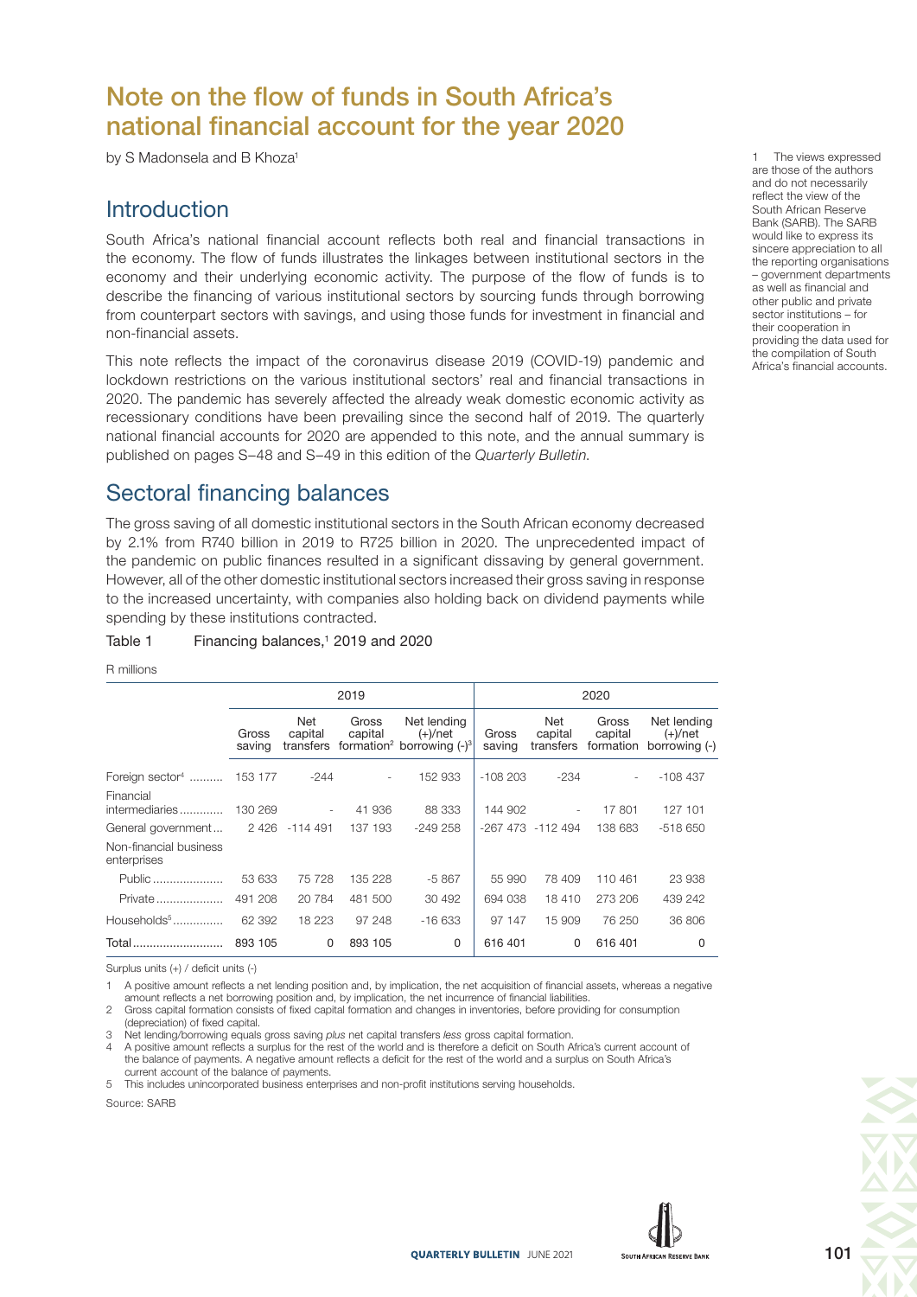# Note on the flow of funds in South Africa's national financial account for the year 2020

by S Madonsela and B Khoza<sup>1</sup>

## **Introduction**

South Africa's national financial account reflects both real and financial transactions in the economy. The flow of funds illustrates the linkages between institutional sectors in the economy and their underlying economic activity. The purpose of the flow of funds is to describe the financing of various institutional sectors by sourcing funds through borrowing from counterpart sectors with savings, and using those funds for investment in financial and non-financial assets.

This note reflects the impact of the coronavirus disease 2019 (COVID-19) pandemic and lockdown restrictions on the various institutional sectors' real and financial transactions in 2020. The pandemic has severely affected the already weak domestic economic activity as recessionary conditions have been prevailing since the second half of 2019. The quarterly national financial accounts for 2020 are appended to this note, and the annual summary is published on pages S–48 and S–49 in this edition of the Quarterly Bulletin.

## Sectoral financing balances

The gross saving of all domestic institutional sectors in the South African economy decreased by 2.1% from R740 billion in 2019 to R725 billion in 2020. The unprecedented impact of the pandemic on public finances resulted in a significant dissaving by general government. However, all of the other domestic institutional sectors increased their gross saving in response to the increased uncertainty, with companies also holding back on dividend payments while spending by these institutions contracted.

#### Table 1 Financing balances,<sup>1</sup> 2019 and 2020

#### R millions

|                                       |                 |                | 2019             |                                                                                 | 2020            |                             |                               |                                            |  |  |  |  |
|---------------------------------------|-----------------|----------------|------------------|---------------------------------------------------------------------------------|-----------------|-----------------------------|-------------------------------|--------------------------------------------|--|--|--|--|
|                                       | Gross<br>saving | Net<br>capital | Gross<br>capital | Net lending<br>$(+)/$ net<br>transfers formation <sup>2</sup> borrowing $(-)^3$ | Gross<br>saving | Net<br>capital<br>transfers | Gross<br>capital<br>formation | Net lending<br>$(+)/$ net<br>borrowing (-) |  |  |  |  |
| Foreign sector <sup>4</sup> 153 177   |                 | -244           |                  | 152 933                                                                         | $-108203$       | $-234$                      |                               | $-108437$                                  |  |  |  |  |
| Financial<br>intermediaries           | 130 269         | $\sim$         | 41 936           | 88 333                                                                          | 144 902         | $\overline{\phantom{m}}$    | 17801                         | 127 101                                    |  |  |  |  |
| General government 2426               |                 | -114 491       | 137 193          | $-249258$                                                                       |                 | -267 473 -112 494           | 138 683                       | -518 650                                   |  |  |  |  |
| Non-financial business<br>enterprises |                 |                |                  |                                                                                 |                 |                             |                               |                                            |  |  |  |  |
| Public                                | 53 633          | 75 728         | 135 228          | $-5867$                                                                         | 55 990          | 78 409                      | 110461                        | 23 938                                     |  |  |  |  |
| Private                               | 491 208         | 20784          | 481 500          | 30 492                                                                          | 694 038         | 18 410                      | 273 206                       | 439 242                                    |  |  |  |  |
| Households $5$                        | 62 392          | 18 223         | 97 248           | $-16633$                                                                        | 97 147          | 15 909                      | 76 250                        | 36 806                                     |  |  |  |  |
| Total                                 | 893 105         | 0              | 893 105          | $\Omega$                                                                        | 616 401         | $\Omega$                    | 616 401                       | 0                                          |  |  |  |  |

Surplus units (+) / deficit units (-)

1 A positive amount reflects a net lending position and, by implication, the net acquisition of financial assets, whereas a negative amount reflects a net borrowing position and, by implication, the net incurrence of financial liabilities.

2 Gross capital formation consists of fixed capital formation and changes in inventories, before providing for consumption (depreciation) of fixed capital.

3 Net lending/borrowing equals gross saving plus net capital transfers less gross capital formation.

4 A positive amount reflects a surplus for the rest of the world and is therefore a deficit on South Africa's current account of the balance of payments. A negative amount reflects a deficit for the rest of the world and a surplus on South Africa's current account of the balance of payments.

5 This includes unincorporated business enterprises and non-profit institutions serving households.

Source: SARB



The views expressed are those of the authors and do not necessarily reflect the view of the South African Reserve Bank (SARB). The SARB would like to express its sincere appreciation to all the reporting organisations – government departments as well as financial and other public and private sector institutions – for their cooperation in providing the data used for the compilation of South Africa's financial accounts.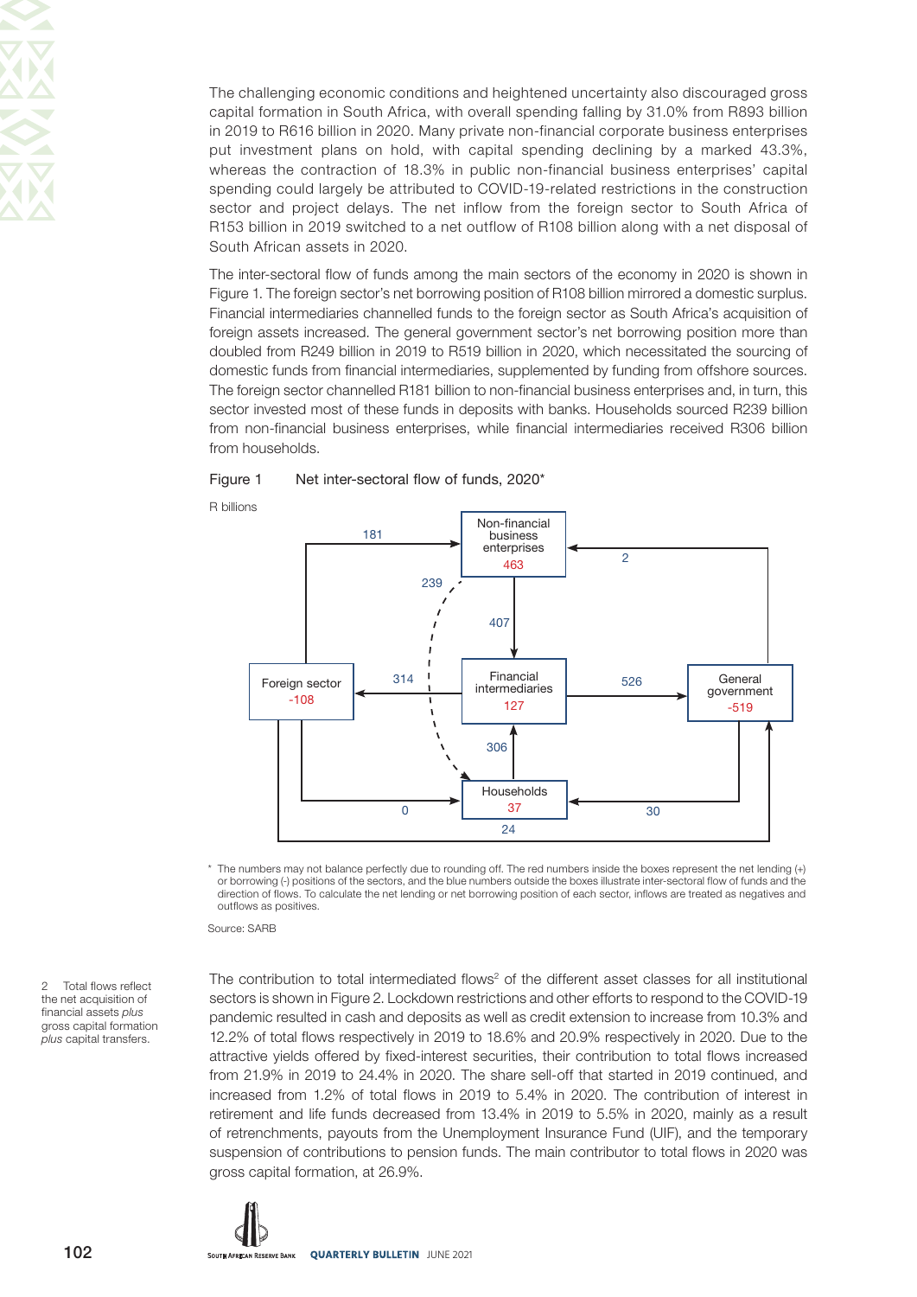The challenging economic conditions and heightened uncertainty also discouraged gross capital formation in South Africa, with overall spending falling by 31.0% from R893 billion in 2019 to R616 billion in 2020. Many private non-financial corporate business enterprises put investment plans on hold, with capital spending declining by a marked 43.3%, whereas the contraction of 18.3% in public non-financial business enterprises' capital spending could largely be attributed to COVID-19-related restrictions in the construction sector and project delays. The net inflow from the foreign sector to South Africa of R153 billion in 2019 switched to a net outflow of R108 billion along with a net disposal of South African assets in 2020.

The inter-sectoral flow of funds among the main sectors of the economy in 2020 is shown in Figure 1. The foreign sector's net borrowing position of R108 billion mirrored a domestic surplus. Financial intermediaries channelled funds to the foreign sector as South Africa's acquisition of foreign assets increased. The general government sector's net borrowing position more than doubled from R249 billion in 2019 to R519 billion in 2020, which necessitated the sourcing of domestic funds from financial intermediaries, supplemented by funding from offshore sources. The foreign sector channelled R181 billion to non-financial business enterprises and, in turn, this sector invested most of these funds in deposits with banks. Households sourced R239 billion from non-financial business enterprises, while financial intermediaries received R306 billion from households.

#### Figure 1 Net inter-sectoral flow of funds, 2020\*

R billions



\* The numbers may not balance perfectly due to rounding off. The red numbers inside the boxes represent the net lending (+) or borrowing (-) positions of the sectors, and the blue numbers outside the boxes illustrate inter-sectoral flow of funds and the direction of flows. To calculate the net lending or net borrowing position of each sector, inflows are treated as negatives and outflows as positives.

Source: SARB

2 Total flows reflect the net acquisition of financial assets plus gross capital formation plus capital transfers.

The contribution to total intermediated flows<sup>2</sup> of the different asset classes for all institutional sectors is shown in Figure 2. Lockdown restrictions and other efforts to respond to the COVID-19 pandemic resulted in cash and deposits as well as credit extension to increase from 10.3% and 12.2% of total flows respectively in 2019 to 18.6% and 20.9% respectively in 2020. Due to the attractive yields offered by fixed-interest securities, their contribution to total flows increased from 21.9% in 2019 to 24.4% in 2020. The share sell-off that started in 2019 continued, and increased from 1.2% of total flows in 2019 to 5.4% in 2020. The contribution of interest in retirement and life funds decreased from 13.4% in 2019 to 5.5% in 2020, mainly as a result of retrenchments, payouts from the Unemployment Insurance Fund (UIF), and the temporary suspension of contributions to pension funds. The main contributor to total flows in 2020 was gross capital formation, at 26.9%.

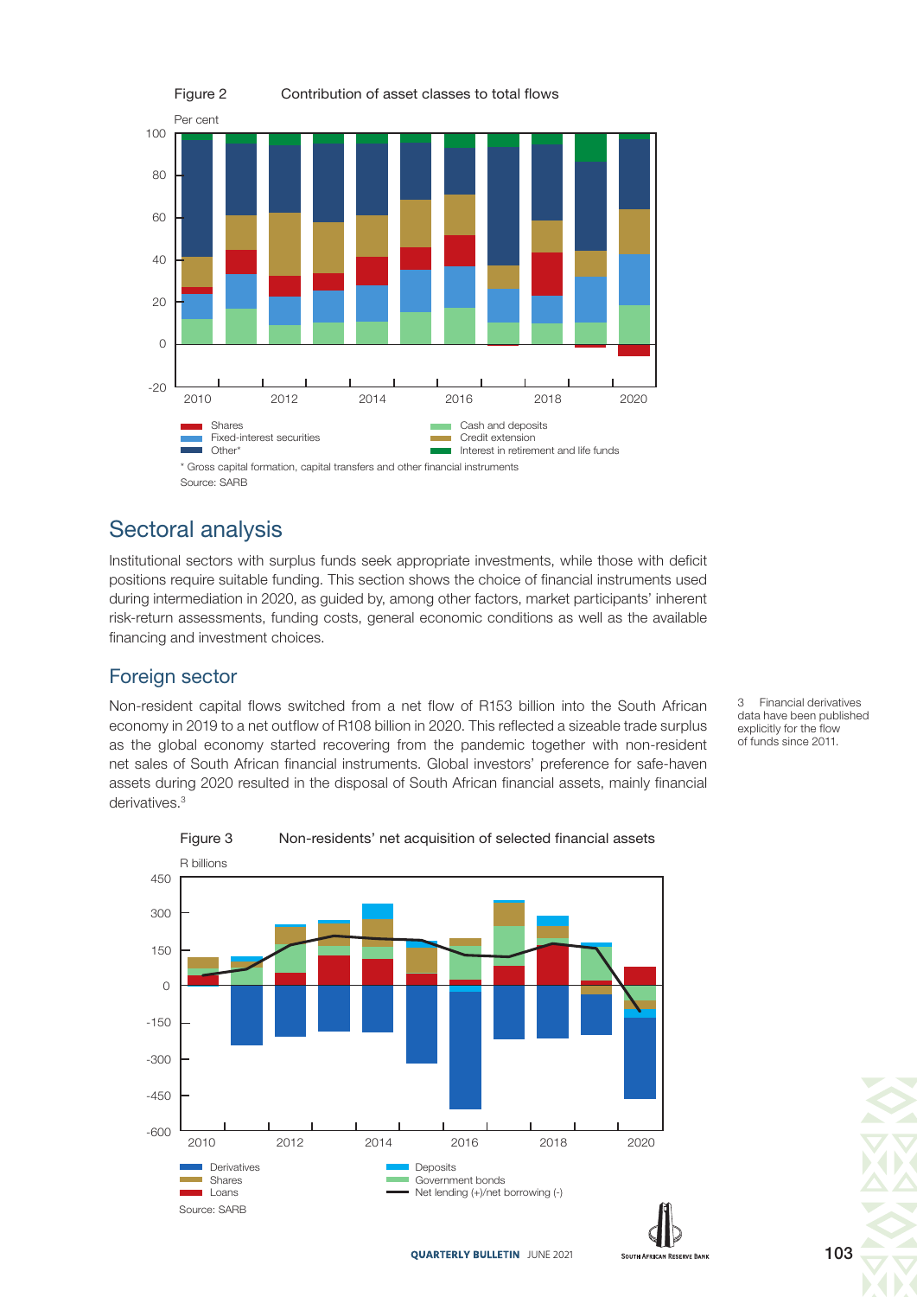

# Sectoral analysis

Institutional sectors with surplus funds seek appropriate investments, while those with deficit positions require suitable funding. This section shows the choice of financial instruments used during intermediation in 2020, as guided by, among other factors, market participants' inherent risk-return assessments, funding costs, general economic conditions as well as the available financing and investment choices.

## Foreign sector

Non-resident capital flows switched from a net flow of R153 billion into the South African economy in 2019 to a net outflow of R108 billion in 2020. This reflected a sizeable trade surplus as the global economy started recovering from the pandemic together with non-resident net sales of South African financial instruments. Global investors' preference for safe-haven assets during 2020 resulted in the disposal of South African financial assets, mainly financial derivatives.<sup>3</sup>

3 Financial derivatives data have been published explicitly for the flow of funds since 2011.



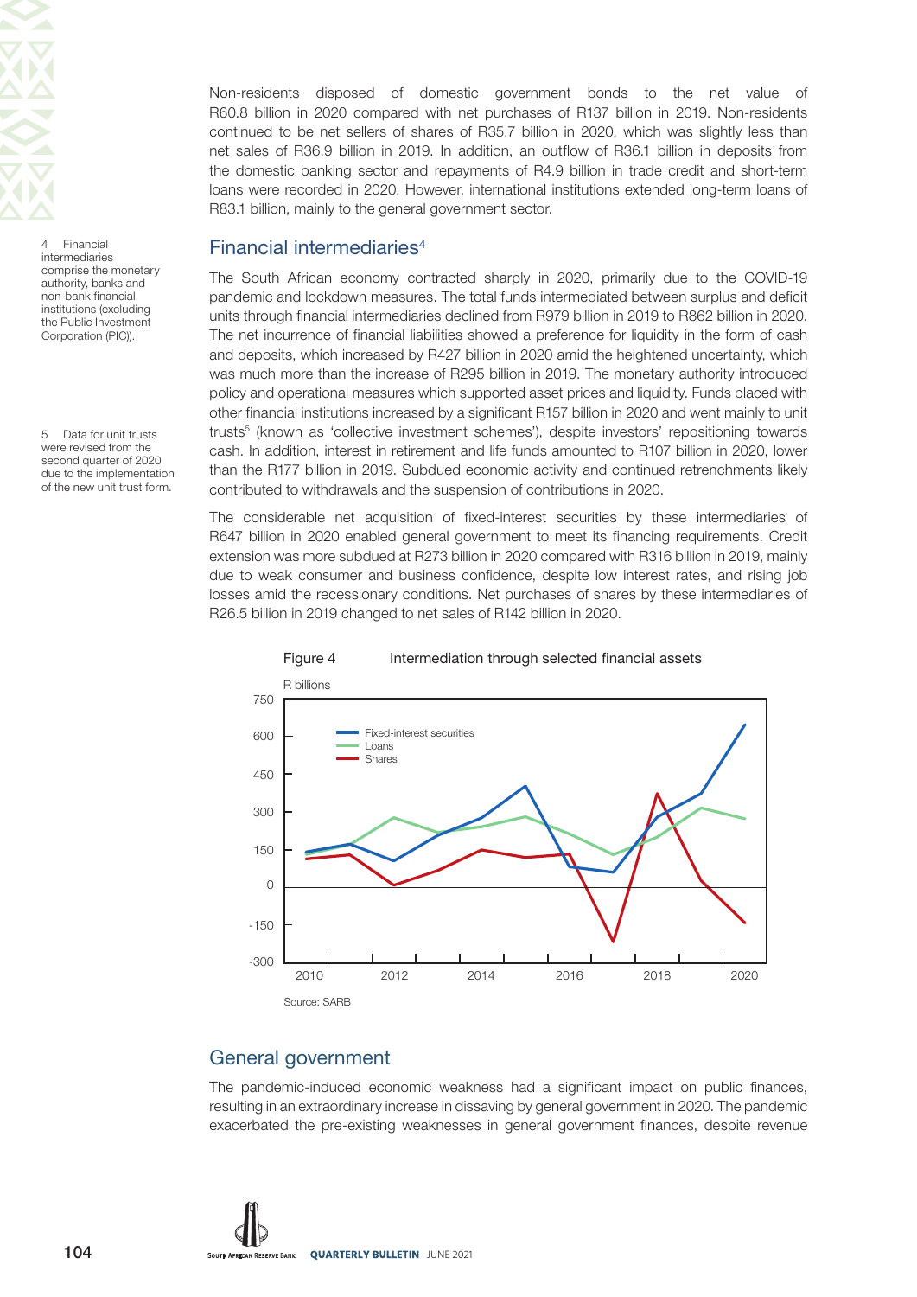

4 Financial intermediaries comprise the monetary authority, banks and non-bank financial institutions (excluding the Public Investment Corporation (PIC)).

5 Data for unit trusts were revised from the second quarter of 2020 due to the implementation of the new unit trust form.

Non-residents disposed of domestic government bonds to the net value of R60.8 billion in 2020 compared with net purchases of R137 billion in 2019. Non-residents continued to be net sellers of shares of R35.7 billion in 2020, which was slightly less than net sales of R36.9 billion in 2019. In addition, an outflow of R36.1 billion in deposits from the domestic banking sector and repayments of R4.9 billion in trade credit and short-term loans were recorded in 2020. However, international institutions extended long-term loans of R83.1 billion, mainly to the general government sector.

## Financial intermediaries<sup>4</sup>

The South African economy contracted sharply in 2020, primarily due to the COVID-19 pandemic and lockdown measures. The total funds intermediated between surplus and deficit units through financial intermediaries declined from R979 billion in 2019 to R862 billion in 2020. The net incurrence of financial liabilities showed a preference for liquidity in the form of cash and deposits, which increased by R427 billion in 2020 amid the heightened uncertainty, which was much more than the increase of R295 billion in 2019. The monetary authority introduced policy and operational measures which supported asset prices and liquidity. Funds placed with other financial institutions increased by a significant R157 billion in 2020 and went mainly to unit trusts5 (known as 'collective investment schemes'), despite investors' repositioning towards cash. In addition, interest in retirement and life funds amounted to R107 billion in 2020, lower than the R177 billion in 2019. Subdued economic activity and continued retrenchments likely contributed to withdrawals and the suspension of contributions in 2020.

The considerable net acquisition of fixed-interest securities by these intermediaries of R647 billion in 2020 enabled general government to meet its financing requirements. Credit extension was more subdued at R273 billion in 2020 compared with R316 billion in 2019, mainly due to weak consumer and business confidence, despite low interest rates, and rising job losses amid the recessionary conditions. Net purchases of shares by these intermediaries of R26.5 billion in 2019 changed to net sales of R142 billion in 2020.



## Figure 4 Intermediation through selected financial assets

## General government

The pandemic-induced economic weakness had a significant impact on public finances, resulting in an extraordinary increase in dissaving by general government in 2020. The pandemic exacerbated the pre-existing weaknesses in general government finances, despite revenue

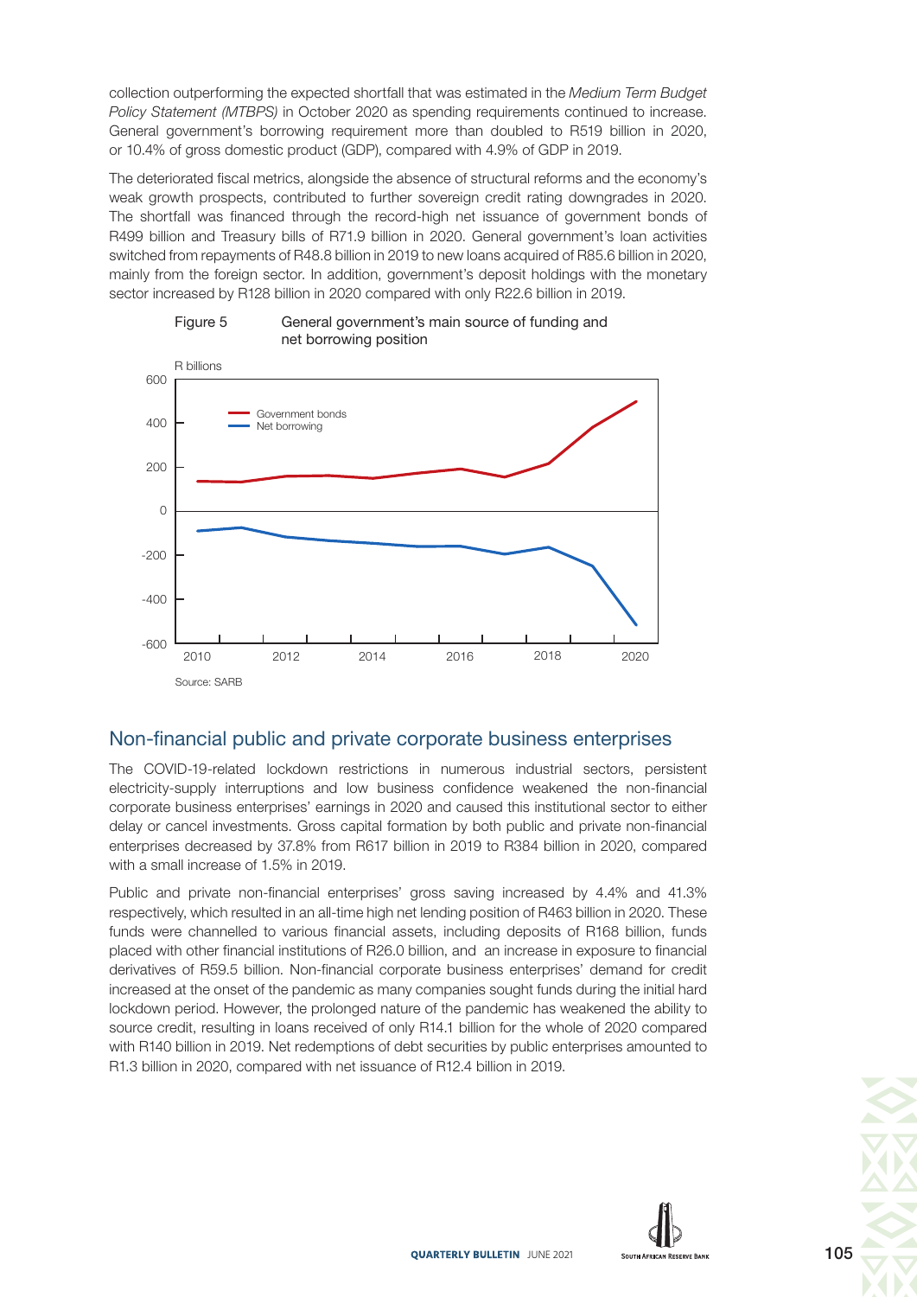collection outperforming the expected shortfall that was estimated in the Medium Term Budget Policy Statement (MTBPS) in October 2020 as spending requirements continued to increase. General government's borrowing requirement more than doubled to R519 billion in 2020, or 10.4% of gross domestic product (GDP), compared with 4.9% of GDP in 2019.

The deteriorated fiscal metrics, alongside the absence of structural reforms and the economy's weak growth prospects, contributed to further sovereign credit rating downgrades in 2020. The shortfall was financed through the record-high net issuance of government bonds of R499 billion and Treasury bills of R71.9 billion in 2020. General government's loan activities switched from repayments of R48.8 billion in 2019 to new loans acquired of R85.6 billion in 2020, mainly from the foreign sector. In addition, government's deposit holdings with the monetary sector increased by R128 billion in 2020 compared with only R22.6 billion in 2019.





## Non-financial public and private corporate business enterprises

The COVID-19-related lockdown restrictions in numerous industrial sectors, persistent electricity-supply interruptions and low business confidence weakened the non-financial corporate business enterprises' earnings in 2020 and caused this institutional sector to either delay or cancel investments. Gross capital formation by both public and private non-financial enterprises decreased by 37.8% from R617 billion in 2019 to R384 billion in 2020, compared with a small increase of 1.5% in 2019.

Public and private non-financial enterprises' gross saving increased by 4.4% and 41.3% respectively, which resulted in an all-time high net lending position of R463 billion in 2020. These funds were channelled to various financial assets, including deposits of R168 billion, funds placed with other financial institutions of R26.0 billion, and an increase in exposure to financial derivatives of R59.5 billion. Non-financial corporate business enterprises' demand for credit increased at the onset of the pandemic as many companies sought funds during the initial hard lockdown period. However, the prolonged nature of the pandemic has weakened the ability to source credit, resulting in loans received of only R14.1 billion for the whole of 2020 compared with R140 billion in 2019. Net redemptions of debt securities by public enterprises amounted to R1.3 billion in 2020, compared with net issuance of R12.4 billion in 2019.



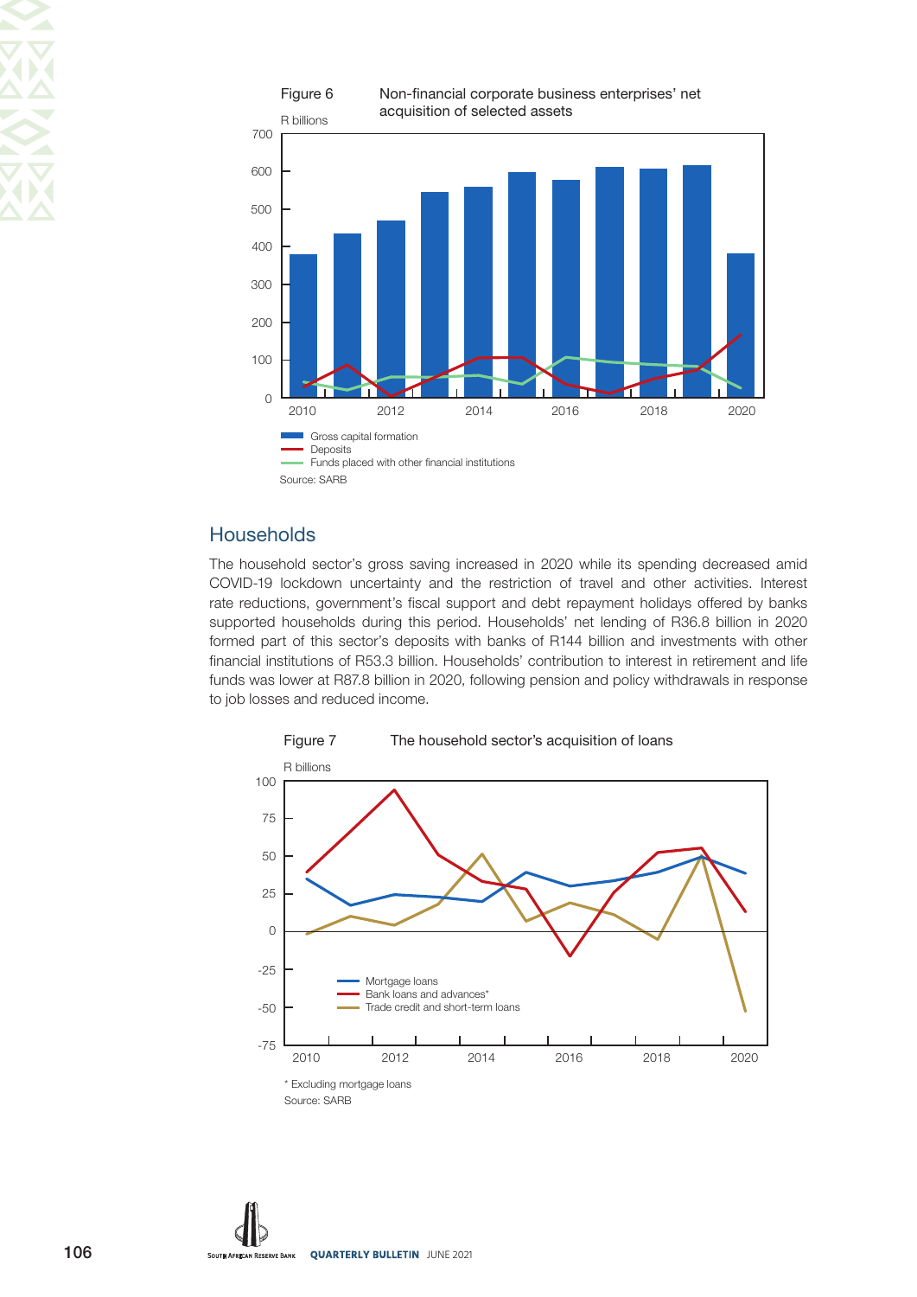

## **Households**

The household sector's gross saving increased in 2020 while its spending decreased amid COVID-19 lockdown uncertainty and the restriction of travel and other activities. Interest rate reductions, government's fiscal support and debt repayment holidays offered by banks supported households during this period. Households' net lending of R36.8 billion in 2020 formed part of this sector's deposits with banks of R144 billion and investments with other financial institutions of R53.3 billion. Households' contribution to interest in retirement and life funds was lower at R87.8 billion in 2020, following pension and policy withdrawals in response to job losses and reduced income.



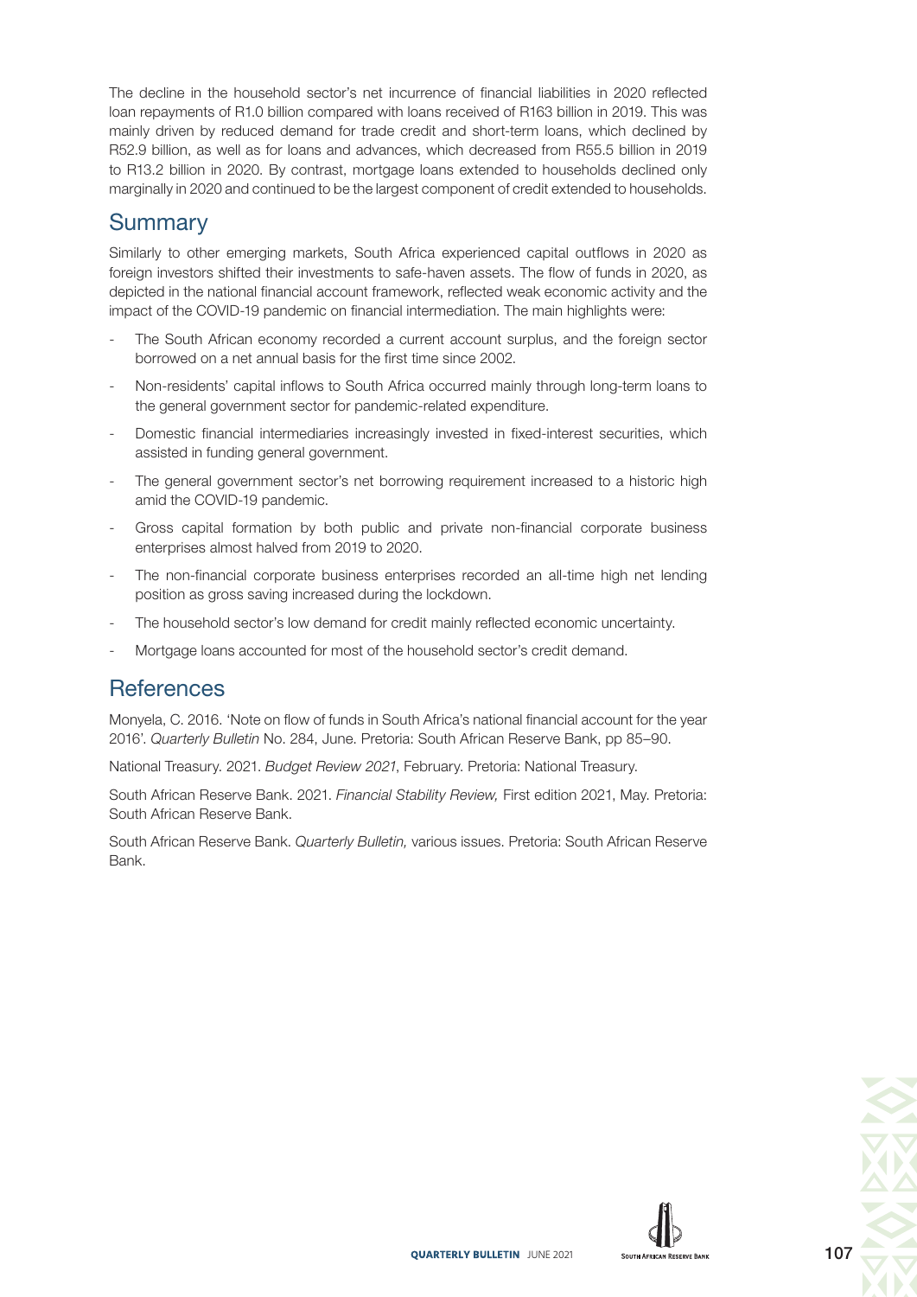The decline in the household sector's net incurrence of financial liabilities in 2020 reflected loan repayments of R1.0 billion compared with loans received of R163 billion in 2019. This was mainly driven by reduced demand for trade credit and short-term loans, which declined by R52.9 billion, as well as for loans and advances, which decreased from R55.5 billion in 2019 to R13.2 billion in 2020. By contrast, mortgage loans extended to households declined only marginally in 2020 and continued to be the largest component of credit extended to households.

# **Summary**

Similarly to other emerging markets, South Africa experienced capital outflows in 2020 as foreign investors shifted their investments to safe-haven assets. The flow of funds in 2020, as depicted in the national financial account framework, reflected weak economic activity and the impact of the COVID-19 pandemic on financial intermediation. The main highlights were:

- The South African economy recorded a current account surplus, and the foreign sector borrowed on a net annual basis for the first time since 2002.
- Non-residents' capital inflows to South Africa occurred mainly through long-term loans to the general government sector for pandemic-related expenditure.
- Domestic financial intermediaries increasingly invested in fixed-interest securities, which assisted in funding general government.
- The general government sector's net borrowing requirement increased to a historic high amid the COVID-19 pandemic.
- Gross capital formation by both public and private non-financial corporate business enterprises almost halved from 2019 to 2020.
- The non-financial corporate business enterprises recorded an all-time high net lending position as gross saving increased during the lockdown.
- The household sector's low demand for credit mainly reflected economic uncertainty.
- Mortgage loans accounted for most of the household sector's credit demand.

## **References**

Monyela, C. 2016. 'Note on flow of funds in South Africa's national financial account for the year 2016'. Quarterly Bulletin No. 284, June. Pretoria: South African Reserve Bank, pp 85–90.

National Treasury. 2021. Budget Review 2021, February. Pretoria: National Treasury.

South African Reserve Bank. 2021. Financial Stability Review, First edition 2021, May. Pretoria: South African Reserve Bank.

South African Reserve Bank. Quarterly Bulletin, various issues. Pretoria: South African Reserve Bank.



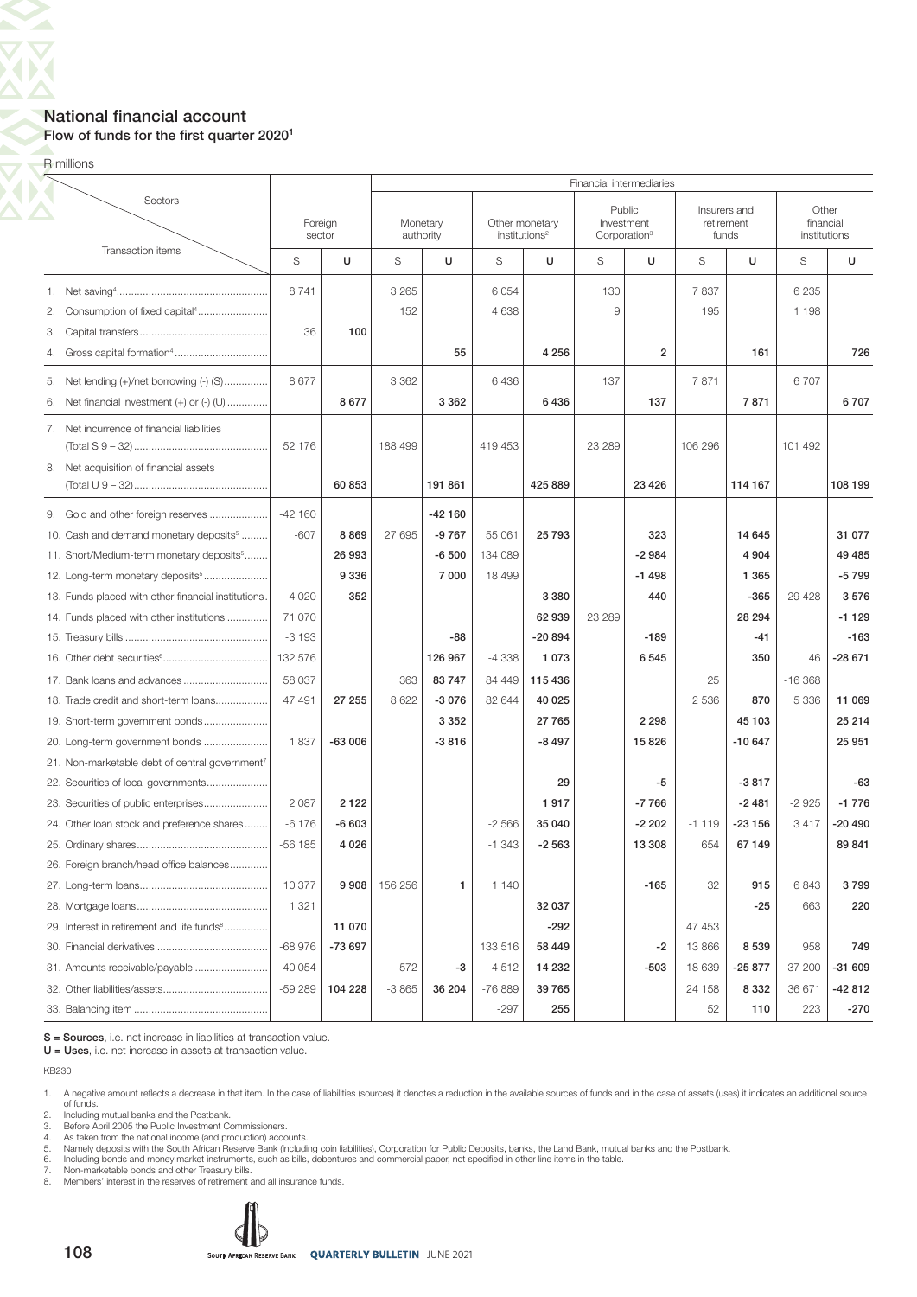### National financial account Flow of funds for the first quarter  $2020<sup>1</sup>$

**R** millions

 $\overline{\mathcal{L}}$ 

 $\overline{\bm{\nabla}}$ 

| Sectors<br>Public<br>Other<br>Insurers and<br>Foreign<br>Monetary<br>Other monetary<br>Investment<br>financial<br>retirement<br>sector<br>authority<br>institutions <sup>2</sup><br>Corporation <sup>3</sup><br>funds<br>institutions<br>Transaction items<br>U<br>U<br>U<br>S<br>S<br>S<br>S<br>U<br>S<br>U<br>S<br>8741<br>3 2 6 5<br>6 0 5 4<br>130<br>7837<br>6 2 3 5<br>152<br>4 6 3 8<br>9<br>195<br>2.<br>1 1 9 8<br>100<br>3.<br>36<br>Gross capital formation <sup>4</sup><br>4 2 5 6<br>$\overline{2}$<br>55<br>161<br>4.<br>8677<br>3 3 6 2<br>6436<br>137<br>7871<br>6707<br>Net lending (+)/net borrowing (-) (S)<br>5.<br>8677<br>3 3 6 2<br>6436<br>7871<br>Net financial investment $(+)$ or $(-)$ $($ U $)$<br>137<br>6.<br>7. Net incurrence of financial liabilities<br>419 453<br>23 289<br>106 296<br>52 176<br>188 499<br>101 492<br>Net acquisition of financial assets<br>8.<br>60 853<br>191 861<br>425 889<br>23 4 26<br>114 167<br>$-42160$<br>9. Gold and other foreign reserves<br>$-42160$<br>$-607$<br>8869<br>27 695<br>$-9767$<br>25 793<br>323<br>10. Cash and demand monetary deposits <sup>5</sup><br>55 061<br>14 645<br>$-2984$<br>26 993<br>$-6500$<br>134 089<br>4 9 0 4<br>11. Short/Medium-term monetary deposits <sup>5</sup><br>9 3 3 6<br>7 000<br>$-1498$<br>12. Long-term monetary deposits <sup>5</sup><br>18 499<br>1 3 6 5<br>352<br>3 3 8 0<br>440<br>$-365$<br>29 4 28<br>13. Funds placed with other financial institutions.<br>4 0 2 0<br>71 070<br>62 939<br>23 289<br>28 294<br>14. Funds placed with other institutions<br>$-3193$<br>$-20894$<br>-88<br>$-189$<br>$-41$<br>132 576<br>$-4338$<br>1 0 7 3<br>126 967<br>6 5 4 5<br>350<br>46<br>58 037<br>363<br>83747<br>84 449<br>115 436<br>25<br>$-16368$<br>17. Bank loans and advances<br>47 491<br>8 6 22<br>$-3076$<br>82 644<br>40 0 25<br>2 5 3 6<br>870<br>18. Trade credit and short-term loans<br>27 255<br>5 3 3 6<br>3 3 5 2<br>27 765<br>2 2 9 8<br>45 103<br>19. Short-term government bonds<br>$-63006$<br>$-3816$<br>$-8497$<br>15826<br>20. Long-term government bonds<br>1837<br>$-10647$<br>21. Non-marketable debt of central government <sup>7</sup><br>29<br>-5<br>$-3817$<br>22. Securities of local governments<br>2 0 8 7<br>2122<br>1917<br>$-7766$<br>23. Securities of public enterprises<br>$-2481$<br>$-2925$<br>$-6603$<br>$-2566$<br>35 040<br>$-2202$<br>$-23156$<br>3 4 1 7<br>24. Other loan stock and preference shares<br>$-6176$<br>$-1119$<br>$-56$ 185<br>4 0 2 6<br>$-1.343$<br>$-2563$<br>13 308<br>654<br>67149<br>26. Foreign branch/head office balances<br>10 377<br>9908<br>156 256<br>1 140<br>$-165$<br>32<br>915<br>6843<br>1<br>1 3 2 1<br>32 037<br>$-25$<br>663<br>29. Interest in retirement and life funds <sup>8</sup><br>11 070<br>$-292$<br>47 453<br>$-73697$<br>$-68976$<br>133 516<br>58 449<br>$-2$<br>13 866<br>8539<br>958<br>$-40054$<br>14 232<br>$-4512$<br>$-503$<br>18 639<br>-25 877<br>37 200<br>31. Amounts receivable/payable<br>-572<br>-3<br>$-59289$<br>$-3865$<br>$-76889$<br>39 765<br>104 228<br>36 204<br>24 158<br>8 3 3 2<br>36 671 |  | Financial intermediaries |  |  |  |        |     |  |  |    |     |     |          |  |
|-----------------------------------------------------------------------------------------------------------------------------------------------------------------------------------------------------------------------------------------------------------------------------------------------------------------------------------------------------------------------------------------------------------------------------------------------------------------------------------------------------------------------------------------------------------------------------------------------------------------------------------------------------------------------------------------------------------------------------------------------------------------------------------------------------------------------------------------------------------------------------------------------------------------------------------------------------------------------------------------------------------------------------------------------------------------------------------------------------------------------------------------------------------------------------------------------------------------------------------------------------------------------------------------------------------------------------------------------------------------------------------------------------------------------------------------------------------------------------------------------------------------------------------------------------------------------------------------------------------------------------------------------------------------------------------------------------------------------------------------------------------------------------------------------------------------------------------------------------------------------------------------------------------------------------------------------------------------------------------------------------------------------------------------------------------------------------------------------------------------------------------------------------------------------------------------------------------------------------------------------------------------------------------------------------------------------------------------------------------------------------------------------------------------------------------------------------------------------------------------------------------------------------------------------------------------------------------------------------------------------------------------------------------------------------------------------------------------------------------------------------------------------------------------------------------------------------------------------------------------------------------------------------------------------------------------------------------------------------------------------------------------------------------------------------------------------------------------------------------------------------------|--|--------------------------|--|--|--|--------|-----|--|--|----|-----|-----|----------|--|
|                                                                                                                                                                                                                                                                                                                                                                                                                                                                                                                                                                                                                                                                                                                                                                                                                                                                                                                                                                                                                                                                                                                                                                                                                                                                                                                                                                                                                                                                                                                                                                                                                                                                                                                                                                                                                                                                                                                                                                                                                                                                                                                                                                                                                                                                                                                                                                                                                                                                                                                                                                                                                                                                                                                                                                                                                                                                                                                                                                                                                                                                                                                                   |  |                          |  |  |  |        |     |  |  |    |     |     |          |  |
|                                                                                                                                                                                                                                                                                                                                                                                                                                                                                                                                                                                                                                                                                                                                                                                                                                                                                                                                                                                                                                                                                                                                                                                                                                                                                                                                                                                                                                                                                                                                                                                                                                                                                                                                                                                                                                                                                                                                                                                                                                                                                                                                                                                                                                                                                                                                                                                                                                                                                                                                                                                                                                                                                                                                                                                                                                                                                                                                                                                                                                                                                                                                   |  |                          |  |  |  |        |     |  |  |    |     |     | U        |  |
|                                                                                                                                                                                                                                                                                                                                                                                                                                                                                                                                                                                                                                                                                                                                                                                                                                                                                                                                                                                                                                                                                                                                                                                                                                                                                                                                                                                                                                                                                                                                                                                                                                                                                                                                                                                                                                                                                                                                                                                                                                                                                                                                                                                                                                                                                                                                                                                                                                                                                                                                                                                                                                                                                                                                                                                                                                                                                                                                                                                                                                                                                                                                   |  |                          |  |  |  |        |     |  |  |    |     |     |          |  |
|                                                                                                                                                                                                                                                                                                                                                                                                                                                                                                                                                                                                                                                                                                                                                                                                                                                                                                                                                                                                                                                                                                                                                                                                                                                                                                                                                                                                                                                                                                                                                                                                                                                                                                                                                                                                                                                                                                                                                                                                                                                                                                                                                                                                                                                                                                                                                                                                                                                                                                                                                                                                                                                                                                                                                                                                                                                                                                                                                                                                                                                                                                                                   |  |                          |  |  |  |        |     |  |  |    |     |     | 726      |  |
|                                                                                                                                                                                                                                                                                                                                                                                                                                                                                                                                                                                                                                                                                                                                                                                                                                                                                                                                                                                                                                                                                                                                                                                                                                                                                                                                                                                                                                                                                                                                                                                                                                                                                                                                                                                                                                                                                                                                                                                                                                                                                                                                                                                                                                                                                                                                                                                                                                                                                                                                                                                                                                                                                                                                                                                                                                                                                                                                                                                                                                                                                                                                   |  |                          |  |  |  |        |     |  |  |    |     |     | 6707     |  |
|                                                                                                                                                                                                                                                                                                                                                                                                                                                                                                                                                                                                                                                                                                                                                                                                                                                                                                                                                                                                                                                                                                                                                                                                                                                                                                                                                                                                                                                                                                                                                                                                                                                                                                                                                                                                                                                                                                                                                                                                                                                                                                                                                                                                                                                                                                                                                                                                                                                                                                                                                                                                                                                                                                                                                                                                                                                                                                                                                                                                                                                                                                                                   |  |                          |  |  |  |        |     |  |  |    |     |     |          |  |
|                                                                                                                                                                                                                                                                                                                                                                                                                                                                                                                                                                                                                                                                                                                                                                                                                                                                                                                                                                                                                                                                                                                                                                                                                                                                                                                                                                                                                                                                                                                                                                                                                                                                                                                                                                                                                                                                                                                                                                                                                                                                                                                                                                                                                                                                                                                                                                                                                                                                                                                                                                                                                                                                                                                                                                                                                                                                                                                                                                                                                                                                                                                                   |  |                          |  |  |  |        |     |  |  |    |     |     | 108 199  |  |
|                                                                                                                                                                                                                                                                                                                                                                                                                                                                                                                                                                                                                                                                                                                                                                                                                                                                                                                                                                                                                                                                                                                                                                                                                                                                                                                                                                                                                                                                                                                                                                                                                                                                                                                                                                                                                                                                                                                                                                                                                                                                                                                                                                                                                                                                                                                                                                                                                                                                                                                                                                                                                                                                                                                                                                                                                                                                                                                                                                                                                                                                                                                                   |  |                          |  |  |  |        |     |  |  |    |     |     |          |  |
|                                                                                                                                                                                                                                                                                                                                                                                                                                                                                                                                                                                                                                                                                                                                                                                                                                                                                                                                                                                                                                                                                                                                                                                                                                                                                                                                                                                                                                                                                                                                                                                                                                                                                                                                                                                                                                                                                                                                                                                                                                                                                                                                                                                                                                                                                                                                                                                                                                                                                                                                                                                                                                                                                                                                                                                                                                                                                                                                                                                                                                                                                                                                   |  |                          |  |  |  |        |     |  |  |    |     |     | 31 077   |  |
|                                                                                                                                                                                                                                                                                                                                                                                                                                                                                                                                                                                                                                                                                                                                                                                                                                                                                                                                                                                                                                                                                                                                                                                                                                                                                                                                                                                                                                                                                                                                                                                                                                                                                                                                                                                                                                                                                                                                                                                                                                                                                                                                                                                                                                                                                                                                                                                                                                                                                                                                                                                                                                                                                                                                                                                                                                                                                                                                                                                                                                                                                                                                   |  |                          |  |  |  |        |     |  |  |    |     |     | 49 485   |  |
|                                                                                                                                                                                                                                                                                                                                                                                                                                                                                                                                                                                                                                                                                                                                                                                                                                                                                                                                                                                                                                                                                                                                                                                                                                                                                                                                                                                                                                                                                                                                                                                                                                                                                                                                                                                                                                                                                                                                                                                                                                                                                                                                                                                                                                                                                                                                                                                                                                                                                                                                                                                                                                                                                                                                                                                                                                                                                                                                                                                                                                                                                                                                   |  |                          |  |  |  |        |     |  |  |    |     |     | $-5799$  |  |
|                                                                                                                                                                                                                                                                                                                                                                                                                                                                                                                                                                                                                                                                                                                                                                                                                                                                                                                                                                                                                                                                                                                                                                                                                                                                                                                                                                                                                                                                                                                                                                                                                                                                                                                                                                                                                                                                                                                                                                                                                                                                                                                                                                                                                                                                                                                                                                                                                                                                                                                                                                                                                                                                                                                                                                                                                                                                                                                                                                                                                                                                                                                                   |  |                          |  |  |  |        |     |  |  |    |     |     | 3576     |  |
|                                                                                                                                                                                                                                                                                                                                                                                                                                                                                                                                                                                                                                                                                                                                                                                                                                                                                                                                                                                                                                                                                                                                                                                                                                                                                                                                                                                                                                                                                                                                                                                                                                                                                                                                                                                                                                                                                                                                                                                                                                                                                                                                                                                                                                                                                                                                                                                                                                                                                                                                                                                                                                                                                                                                                                                                                                                                                                                                                                                                                                                                                                                                   |  |                          |  |  |  |        |     |  |  |    |     |     | $-1129$  |  |
|                                                                                                                                                                                                                                                                                                                                                                                                                                                                                                                                                                                                                                                                                                                                                                                                                                                                                                                                                                                                                                                                                                                                                                                                                                                                                                                                                                                                                                                                                                                                                                                                                                                                                                                                                                                                                                                                                                                                                                                                                                                                                                                                                                                                                                                                                                                                                                                                                                                                                                                                                                                                                                                                                                                                                                                                                                                                                                                                                                                                                                                                                                                                   |  |                          |  |  |  |        |     |  |  |    |     |     | $-163$   |  |
|                                                                                                                                                                                                                                                                                                                                                                                                                                                                                                                                                                                                                                                                                                                                                                                                                                                                                                                                                                                                                                                                                                                                                                                                                                                                                                                                                                                                                                                                                                                                                                                                                                                                                                                                                                                                                                                                                                                                                                                                                                                                                                                                                                                                                                                                                                                                                                                                                                                                                                                                                                                                                                                                                                                                                                                                                                                                                                                                                                                                                                                                                                                                   |  |                          |  |  |  |        |     |  |  |    |     |     | $-28671$ |  |
|                                                                                                                                                                                                                                                                                                                                                                                                                                                                                                                                                                                                                                                                                                                                                                                                                                                                                                                                                                                                                                                                                                                                                                                                                                                                                                                                                                                                                                                                                                                                                                                                                                                                                                                                                                                                                                                                                                                                                                                                                                                                                                                                                                                                                                                                                                                                                                                                                                                                                                                                                                                                                                                                                                                                                                                                                                                                                                                                                                                                                                                                                                                                   |  |                          |  |  |  |        |     |  |  |    |     |     |          |  |
|                                                                                                                                                                                                                                                                                                                                                                                                                                                                                                                                                                                                                                                                                                                                                                                                                                                                                                                                                                                                                                                                                                                                                                                                                                                                                                                                                                                                                                                                                                                                                                                                                                                                                                                                                                                                                                                                                                                                                                                                                                                                                                                                                                                                                                                                                                                                                                                                                                                                                                                                                                                                                                                                                                                                                                                                                                                                                                                                                                                                                                                                                                                                   |  |                          |  |  |  |        |     |  |  |    |     |     | 11 069   |  |
|                                                                                                                                                                                                                                                                                                                                                                                                                                                                                                                                                                                                                                                                                                                                                                                                                                                                                                                                                                                                                                                                                                                                                                                                                                                                                                                                                                                                                                                                                                                                                                                                                                                                                                                                                                                                                                                                                                                                                                                                                                                                                                                                                                                                                                                                                                                                                                                                                                                                                                                                                                                                                                                                                                                                                                                                                                                                                                                                                                                                                                                                                                                                   |  |                          |  |  |  |        |     |  |  |    |     |     | 25 214   |  |
|                                                                                                                                                                                                                                                                                                                                                                                                                                                                                                                                                                                                                                                                                                                                                                                                                                                                                                                                                                                                                                                                                                                                                                                                                                                                                                                                                                                                                                                                                                                                                                                                                                                                                                                                                                                                                                                                                                                                                                                                                                                                                                                                                                                                                                                                                                                                                                                                                                                                                                                                                                                                                                                                                                                                                                                                                                                                                                                                                                                                                                                                                                                                   |  |                          |  |  |  |        |     |  |  |    |     |     | 25 951   |  |
|                                                                                                                                                                                                                                                                                                                                                                                                                                                                                                                                                                                                                                                                                                                                                                                                                                                                                                                                                                                                                                                                                                                                                                                                                                                                                                                                                                                                                                                                                                                                                                                                                                                                                                                                                                                                                                                                                                                                                                                                                                                                                                                                                                                                                                                                                                                                                                                                                                                                                                                                                                                                                                                                                                                                                                                                                                                                                                                                                                                                                                                                                                                                   |  |                          |  |  |  |        |     |  |  |    |     |     |          |  |
|                                                                                                                                                                                                                                                                                                                                                                                                                                                                                                                                                                                                                                                                                                                                                                                                                                                                                                                                                                                                                                                                                                                                                                                                                                                                                                                                                                                                                                                                                                                                                                                                                                                                                                                                                                                                                                                                                                                                                                                                                                                                                                                                                                                                                                                                                                                                                                                                                                                                                                                                                                                                                                                                                                                                                                                                                                                                                                                                                                                                                                                                                                                                   |  |                          |  |  |  |        |     |  |  |    |     |     | -63      |  |
|                                                                                                                                                                                                                                                                                                                                                                                                                                                                                                                                                                                                                                                                                                                                                                                                                                                                                                                                                                                                                                                                                                                                                                                                                                                                                                                                                                                                                                                                                                                                                                                                                                                                                                                                                                                                                                                                                                                                                                                                                                                                                                                                                                                                                                                                                                                                                                                                                                                                                                                                                                                                                                                                                                                                                                                                                                                                                                                                                                                                                                                                                                                                   |  |                          |  |  |  |        |     |  |  |    |     |     | $-1776$  |  |
|                                                                                                                                                                                                                                                                                                                                                                                                                                                                                                                                                                                                                                                                                                                                                                                                                                                                                                                                                                                                                                                                                                                                                                                                                                                                                                                                                                                                                                                                                                                                                                                                                                                                                                                                                                                                                                                                                                                                                                                                                                                                                                                                                                                                                                                                                                                                                                                                                                                                                                                                                                                                                                                                                                                                                                                                                                                                                                                                                                                                                                                                                                                                   |  |                          |  |  |  |        |     |  |  |    |     |     | $-20490$ |  |
|                                                                                                                                                                                                                                                                                                                                                                                                                                                                                                                                                                                                                                                                                                                                                                                                                                                                                                                                                                                                                                                                                                                                                                                                                                                                                                                                                                                                                                                                                                                                                                                                                                                                                                                                                                                                                                                                                                                                                                                                                                                                                                                                                                                                                                                                                                                                                                                                                                                                                                                                                                                                                                                                                                                                                                                                                                                                                                                                                                                                                                                                                                                                   |  |                          |  |  |  |        |     |  |  |    |     |     | 89 841   |  |
|                                                                                                                                                                                                                                                                                                                                                                                                                                                                                                                                                                                                                                                                                                                                                                                                                                                                                                                                                                                                                                                                                                                                                                                                                                                                                                                                                                                                                                                                                                                                                                                                                                                                                                                                                                                                                                                                                                                                                                                                                                                                                                                                                                                                                                                                                                                                                                                                                                                                                                                                                                                                                                                                                                                                                                                                                                                                                                                                                                                                                                                                                                                                   |  |                          |  |  |  |        |     |  |  |    |     |     |          |  |
|                                                                                                                                                                                                                                                                                                                                                                                                                                                                                                                                                                                                                                                                                                                                                                                                                                                                                                                                                                                                                                                                                                                                                                                                                                                                                                                                                                                                                                                                                                                                                                                                                                                                                                                                                                                                                                                                                                                                                                                                                                                                                                                                                                                                                                                                                                                                                                                                                                                                                                                                                                                                                                                                                                                                                                                                                                                                                                                                                                                                                                                                                                                                   |  |                          |  |  |  |        |     |  |  |    |     |     | 3799     |  |
|                                                                                                                                                                                                                                                                                                                                                                                                                                                                                                                                                                                                                                                                                                                                                                                                                                                                                                                                                                                                                                                                                                                                                                                                                                                                                                                                                                                                                                                                                                                                                                                                                                                                                                                                                                                                                                                                                                                                                                                                                                                                                                                                                                                                                                                                                                                                                                                                                                                                                                                                                                                                                                                                                                                                                                                                                                                                                                                                                                                                                                                                                                                                   |  |                          |  |  |  |        |     |  |  |    |     |     | 220      |  |
|                                                                                                                                                                                                                                                                                                                                                                                                                                                                                                                                                                                                                                                                                                                                                                                                                                                                                                                                                                                                                                                                                                                                                                                                                                                                                                                                                                                                                                                                                                                                                                                                                                                                                                                                                                                                                                                                                                                                                                                                                                                                                                                                                                                                                                                                                                                                                                                                                                                                                                                                                                                                                                                                                                                                                                                                                                                                                                                                                                                                                                                                                                                                   |  |                          |  |  |  |        |     |  |  |    |     |     |          |  |
|                                                                                                                                                                                                                                                                                                                                                                                                                                                                                                                                                                                                                                                                                                                                                                                                                                                                                                                                                                                                                                                                                                                                                                                                                                                                                                                                                                                                                                                                                                                                                                                                                                                                                                                                                                                                                                                                                                                                                                                                                                                                                                                                                                                                                                                                                                                                                                                                                                                                                                                                                                                                                                                                                                                                                                                                                                                                                                                                                                                                                                                                                                                                   |  |                          |  |  |  |        |     |  |  |    |     |     | 749      |  |
|                                                                                                                                                                                                                                                                                                                                                                                                                                                                                                                                                                                                                                                                                                                                                                                                                                                                                                                                                                                                                                                                                                                                                                                                                                                                                                                                                                                                                                                                                                                                                                                                                                                                                                                                                                                                                                                                                                                                                                                                                                                                                                                                                                                                                                                                                                                                                                                                                                                                                                                                                                                                                                                                                                                                                                                                                                                                                                                                                                                                                                                                                                                                   |  |                          |  |  |  |        |     |  |  |    |     |     | $-31609$ |  |
|                                                                                                                                                                                                                                                                                                                                                                                                                                                                                                                                                                                                                                                                                                                                                                                                                                                                                                                                                                                                                                                                                                                                                                                                                                                                                                                                                                                                                                                                                                                                                                                                                                                                                                                                                                                                                                                                                                                                                                                                                                                                                                                                                                                                                                                                                                                                                                                                                                                                                                                                                                                                                                                                                                                                                                                                                                                                                                                                                                                                                                                                                                                                   |  |                          |  |  |  |        |     |  |  |    |     |     | -42 812  |  |
|                                                                                                                                                                                                                                                                                                                                                                                                                                                                                                                                                                                                                                                                                                                                                                                                                                                                                                                                                                                                                                                                                                                                                                                                                                                                                                                                                                                                                                                                                                                                                                                                                                                                                                                                                                                                                                                                                                                                                                                                                                                                                                                                                                                                                                                                                                                                                                                                                                                                                                                                                                                                                                                                                                                                                                                                                                                                                                                                                                                                                                                                                                                                   |  |                          |  |  |  | $-297$ | 255 |  |  | 52 | 110 | 223 | $-270$   |  |

S = Sources, i.e. net increase in liabilities at transaction value.

U = Uses, i.e. net increase in assets at transaction value.

KB230

1. A negative amount reflects a decrease in that item. In the case of liabilities (sources) it denotes a reduction in the available sources of funds and in the case of assets (uses) it indicates an additional source of fun

of funds.<br>2. Including mutual banks and the Postbank.<br>3. Before April 2005 the Public Investment Commissioners.<br>4. As taken from the national income (and production) accounts.<br>4. As taken from the national income (and prod

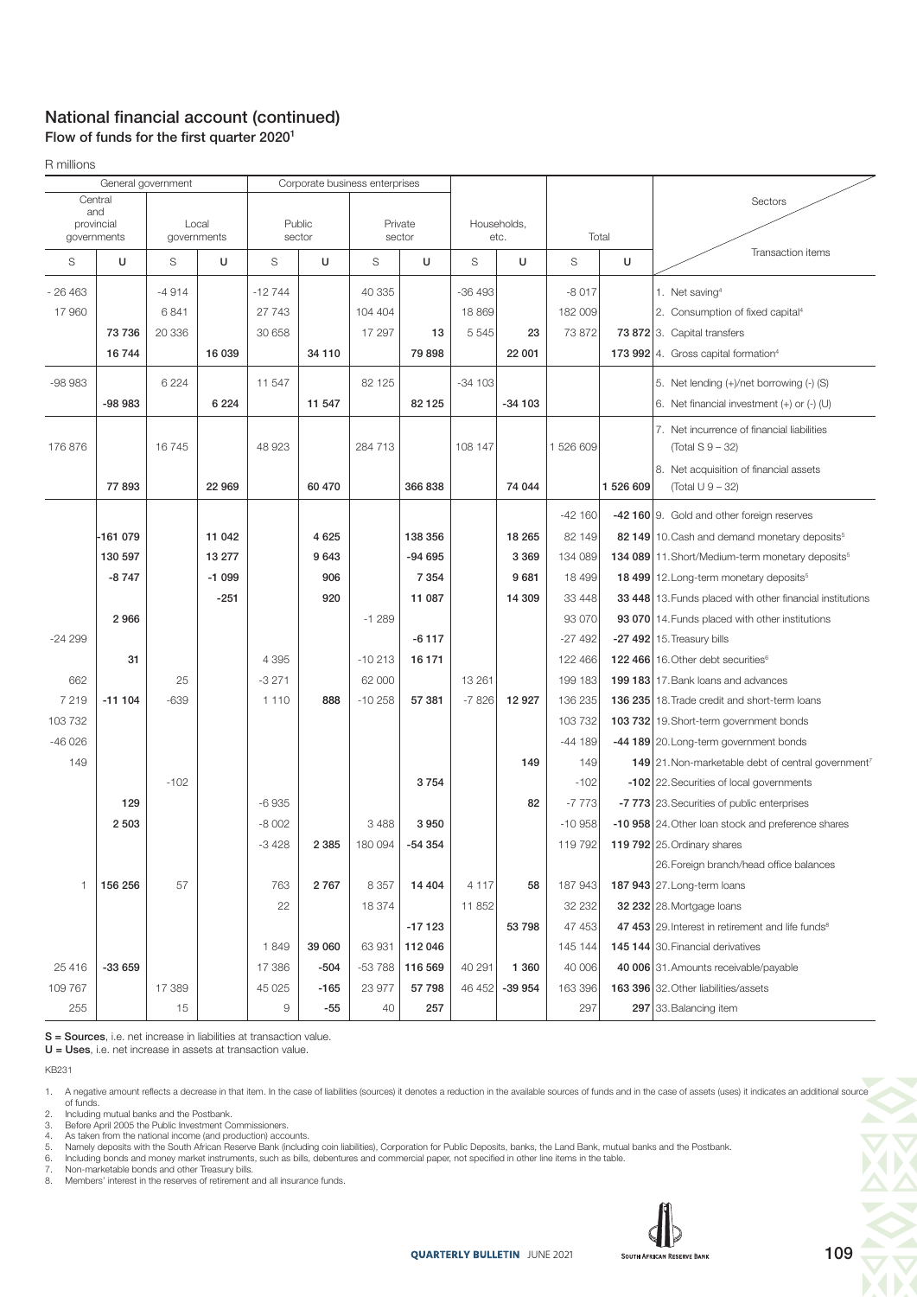### National financial account (continued) Flow of funds for the first quarter  $2020<sup>1</sup>$

R millions

| General government                    |             |         | Corporate business enterprises |          |         |          |          |             |          |          |           |                                                                |
|---------------------------------------|-------------|---------|--------------------------------|----------|---------|----------|----------|-------------|----------|----------|-----------|----------------------------------------------------------------|
| Central<br>and<br>provincial<br>Local |             |         | Public                         |          |         | Private  |          | Households, |          |          | Sectors   |                                                                |
|                                       | governments |         | governments                    |          | sector  |          | sector   |             | etc.     | Total    |           |                                                                |
| S                                     | U           | S       | U                              | S        | U       | S        | U        | S           | U        | S        | U         | Transaction items                                              |
| $-26463$                              |             | $-4914$ |                                | $-12744$ |         | 40 335   |          | $-36493$    |          | $-8017$  |           | 1. Net saving <sup>4</sup>                                     |
| 17960                                 |             | 6841    |                                | 27 743   |         | 104 404  |          | 18 869      |          | 182 009  |           | 2. Consumption of fixed capital <sup>4</sup>                   |
|                                       | 73736       | 20336   |                                | 30 658   |         | 17 297   | 13       | 5 5 4 5     | 23       | 73 872   |           | 73 872 3. Capital transfers                                    |
|                                       | 16744       |         | 16 039                         |          | 34 110  |          | 79 898   |             | 22 001   |          |           | 173 992 4. Gross capital formation <sup>4</sup>                |
| $-98983$                              |             | 6 2 2 4 |                                | 11 547   |         | 82 125   |          | $-34103$    |          |          |           | 5. Net lending (+)/net borrowing (-) (S)                       |
|                                       | $-98983$    |         | 6 2 2 4                        |          | 11 547  |          | 82 1 25  |             | $-34103$ |          |           | 6. Net financial investment $(+)$ or $(-)$ (U)                 |
|                                       |             |         |                                |          |         |          |          |             |          |          |           | 7. Net incurrence of financial liabilities                     |
| 176 876                               |             | 16745   |                                | 48 923   |         | 284 713  |          | 108 147     |          | 1526609  |           | (Total S 9 – 32)                                               |
|                                       |             |         |                                |          |         |          |          |             |          |          |           | 8. Net acquisition of financial assets                         |
|                                       | 77893       |         | 22 969                         |          | 60 470  |          | 366 838  |             | 74 044   |          | 1 526 609 | (Total U 9 - 32)                                               |
|                                       |             |         |                                |          |         |          |          |             |          | $-42160$ |           | -42 160 9. Gold and other foreign reserves                     |
|                                       | -161 079    |         | 11 042                         |          | 4625    |          | 138 356  |             | 18 265   | 82 149   |           | 82 149 10. Cash and demand monetary deposits <sup>5</sup>      |
|                                       | 130 597     |         | 13 277                         |          | 9643    |          | $-94695$ |             | 3 3 6 9  | 134 089  |           | 134 089 11. Short/Medium-term monetary deposits <sup>5</sup>   |
|                                       | $-8747$     |         | $-1099$                        |          | 906     |          | 7 3 5 4  |             | 9681     | 18 499   |           | 18 499 12. Long-term monetary deposits <sup>5</sup>            |
|                                       |             |         | $-251$                         |          | 920     |          | 11 087   |             | 14 309   | 33 448   |           | 33 448 13. Funds placed with other financial institutions      |
|                                       | 2966        |         |                                |          |         | $-1289$  |          |             |          | 93 070   |           | 93 070 14. Funds placed with other institutions                |
| $-24299$                              |             |         |                                |          |         |          | $-6117$  |             |          | $-27492$ |           | -27 492 15. Treasury bills                                     |
|                                       | 31          |         |                                | 4 3 9 5  |         | $-10213$ | 16 171   |             |          | 122 466  |           | 122 466 16. Other debt securities <sup>6</sup>                 |
| 662                                   |             | 25      |                                | $-3271$  |         | 62 000   |          | 13 261      |          | 199 183  |           | 199 183 17. Bank loans and advances                            |
| 7219                                  | $-111104$   | $-639$  |                                | 1 1 1 0  | 888     | $-10258$ | 57 381   | $-7826$     | 12 9 27  | 136 235  |           | 136 235 18. Trade credit and short-term loans                  |
| 103 732                               |             |         |                                |          |         |          |          |             |          | 103 732  |           | 103 732 19. Short-term government bonds                        |
| $-46026$                              |             |         |                                |          |         |          |          |             |          | $-44189$ |           | -44 189 20. Long-term government bonds                         |
| 149                                   |             |         |                                |          |         |          |          |             | 149      | 149      |           | 149 21. Non-marketable debt of central government <sup>7</sup> |
|                                       |             | $-102$  |                                |          |         |          | 3754     |             |          | $-102$   |           | -102 22. Securities of local governments                       |
|                                       | 129         |         |                                | $-6935$  |         |          |          |             | 82       | $-7773$  |           | -7 773 23. Securities of public enterprises                    |
|                                       | 2 5 0 3     |         |                                | $-8002$  |         | 3 4 8 8  | 3 9 5 0  |             |          | $-10958$ |           | -10 958 24. Other loan stock and preference shares             |
|                                       |             |         |                                | $-3428$  | 2 3 8 5 | 180 094  | -54 354  |             |          | 119 792  |           | 119 792 25. Ordinary shares                                    |
|                                       |             |         |                                |          |         |          |          |             |          |          |           | 26. Foreign branch/head office balances                        |
| $\mathbf{1}$                          | 156 256     | 57      |                                | 763      | 2767    | 8 3 5 7  | 14 404   | 4 1 1 7     | 58       | 187 943  |           | 187 943 27. Long-term loans                                    |
|                                       |             |         |                                | 22       |         | 18 374   |          | 11 852      |          | 32 232   |           | 32 232 28. Mortgage loans                                      |
|                                       |             |         |                                |          |         |          | $-17123$ |             | 53 798   | 47 453   |           | 47 453 29. Interest in retirement and life funds <sup>8</sup>  |
|                                       |             |         |                                | 1849     | 39 060  | 63 931   | 112 046  |             |          | 145 144  |           | 145 144 30. Financial derivatives                              |
| 25 4 16                               | $-33659$    |         |                                | 17 386   | $-504$  | $-53788$ | 116 569  | 40 291      | 1 3 6 0  | 40 006   |           | 40 006 31. Amounts receivable/payable                          |
| 109 767                               |             | 17 389  |                                | 45 0 25  | $-165$  | 23 977   | 57 798   | 46 452      | -39 954  | 163 396  |           | 163 396 32. Other liabilities/assets                           |
| 255                                   |             | 15      |                                | 9        | -55     | 40       | 257      |             |          | 297      |           | 297 33. Balancing item                                         |

S = Sources, i.e. net increase in liabilities at transaction value.

U = Uses, i.e. net increase in assets at transaction value.

KB231

2. Including mutual banks and the Postbank. 3. Before April 2005 the Public Investment Commissioners.

4. As taken from the national income (and production) accounts.<br>5. Namely deposits with the South African Reserve Bank (including coin liabilities), Corporation for Public Deposits, banks, the Land Bank, mutual banks and

6. Including bonds and money market instruments, such as bills, debentures and commercial paper, not specified in other line items in the table.<br>7. Non-marketable bonds and other Treasury bills.<br>8. Members' interest in the

7. Non-marketable bonds and other Treasury bills. 8. Members' interest in the reserves of retirement and all insurance funds.



<sup>1.</sup> A negative amount reflects a decrease in that item. In the case of liabilities (sources) it denotes a reduction in the available sources of funds and in the case of assets (uses) it indicates an additional source<br>of fun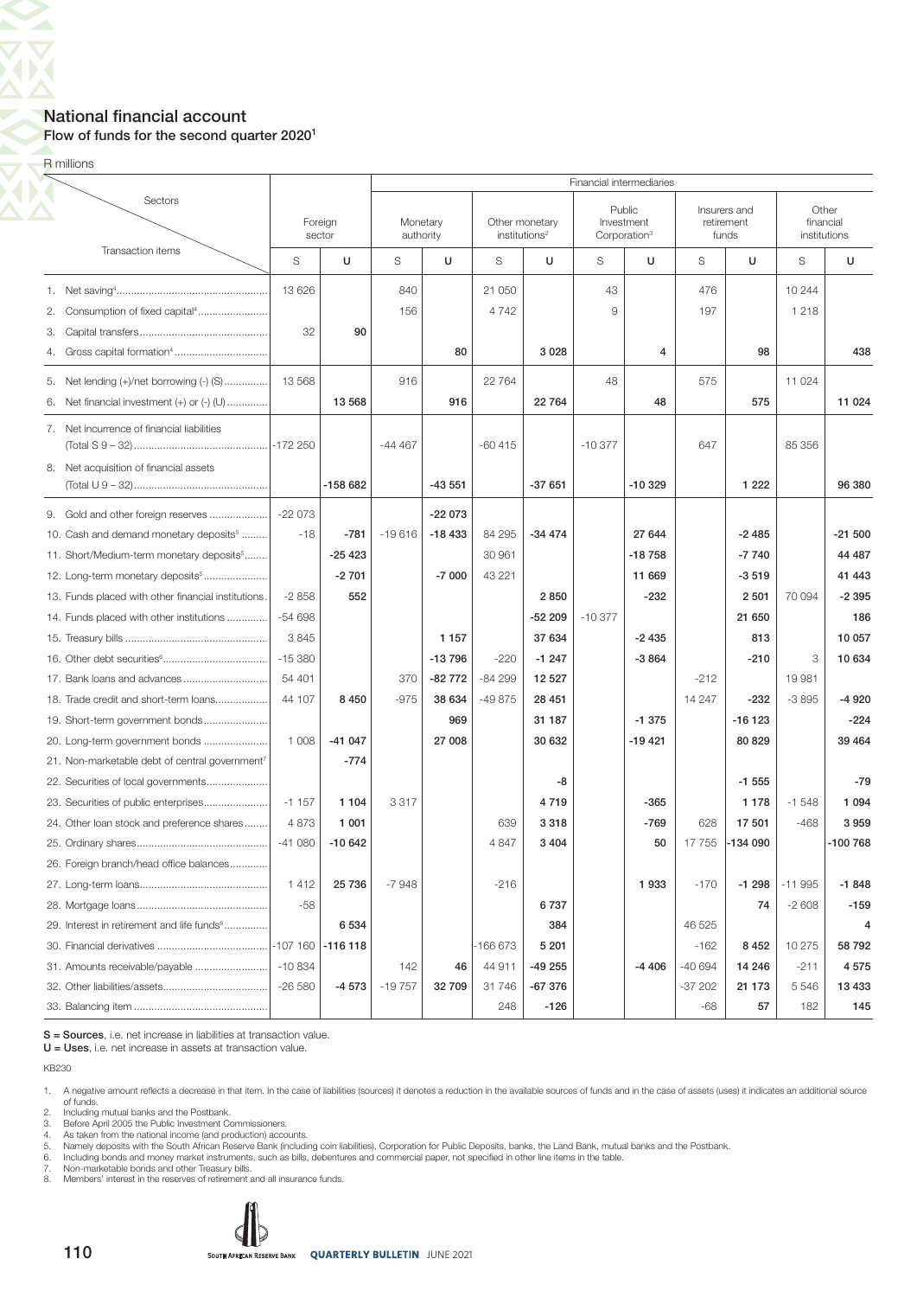### National financial account Flow of funds for the second quarter 2020<sup>1</sup>

R millions

 $\overline{\bm{\nabla}}$ 

|    |                                                            | Financial intermediaries |                   |                       |          |                           |                |          |                                                  |         |                                     |                    |              |  |  |
|----|------------------------------------------------------------|--------------------------|-------------------|-----------------------|----------|---------------------------|----------------|----------|--------------------------------------------------|---------|-------------------------------------|--------------------|--------------|--|--|
|    | Sectors                                                    |                          | Foreign<br>sector | Monetary<br>authority |          | institutions <sup>2</sup> | Other monetary |          | Public<br>Investment<br>Corporation <sup>3</sup> |         | Insurers and<br>retirement<br>funds | Other<br>financial | institutions |  |  |
|    | Transaction items                                          | S<br>U                   |                   | S                     | U        | S                         | U              | S        | U                                                | S       | U                                   | S                  | U            |  |  |
|    |                                                            | 13 6 26                  |                   | 840                   |          | 21 050                    |                | 43       |                                                  | 476     |                                     | 10 244             |              |  |  |
| 2. | Consumption of fixed capital <sup>4</sup>                  |                          |                   | 156                   |          | 4742                      |                | 9        |                                                  | 197     |                                     | 1 2 1 8            |              |  |  |
| 3. |                                                            | 32                       | 90                |                       |          |                           |                |          |                                                  |         |                                     |                    |              |  |  |
| 4. |                                                            |                          |                   |                       | 80       |                           | 3 0 28         |          | $\overline{4}$                                   |         | 98                                  |                    | 438          |  |  |
| 5. | Net lending (+)/net borrowing (-) (S)                      | 13 568                   |                   | 916                   |          | 22 764                    |                | 48       |                                                  | 575     |                                     | 11 0 24            |              |  |  |
| 6. | Net financial investment $(+)$ or $(-)$ $($ U $)$          |                          | 13 5 68           |                       | 916      |                           | 22 764         |          | 48                                               |         | 575                                 |                    | 11 0 24      |  |  |
|    | 7. Net incurrence of financial liabilities                 |                          |                   | $-44467$              |          | $-60415$                  |                | $-10377$ |                                                  | 647     |                                     | 85 356             |              |  |  |
|    | 8. Net acquisition of financial assets                     |                          |                   |                       |          |                           |                |          |                                                  |         |                                     |                    |              |  |  |
|    |                                                            |                          | $-158682$         |                       | $-43551$ |                           | $-37651$       |          | $-10329$                                         |         | 1 2 2 2                             |                    | 96 380       |  |  |
| 9. | Gold and other foreign reserves                            | $-22073$                 |                   |                       | $-22073$ |                           |                |          |                                                  |         |                                     |                    |              |  |  |
|    | 10. Cash and demand monetary deposits <sup>5</sup>         | $-18$                    | $-781$            | $-19616$              | $-18433$ | 84 295                    | $-34474$       |          | 27 644                                           |         | $-2485$                             |                    | $-21500$     |  |  |
|    | 11. Short/Medium-term monetary deposits <sup>5</sup>       |                          | $-25423$          |                       |          | 30 961                    |                |          | $-18758$                                         |         | $-7740$                             |                    | 44 487       |  |  |
|    | 12. Long-term monetary deposits <sup>5</sup>               |                          | $-2701$           |                       | $-7000$  | 43 221                    |                |          | 11 669                                           |         | $-3519$                             |                    | 41 443       |  |  |
|    | 13. Funds placed with other financial institutions.        | $-2858$                  | 552               |                       |          |                           | 2850           |          | $-232$                                           |         | 2 501                               | 70 094             | $-2395$      |  |  |
|    | 14. Funds placed with other institutions                   | $-54698$                 |                   |                       |          |                           | $-52209$       | $-10377$ |                                                  |         | 21 650                              |                    | 186          |  |  |
|    |                                                            | 3845                     |                   |                       | 1 1 5 7  |                           | 37 634         |          | $-2435$                                          |         | 813                                 |                    | 10 057       |  |  |
|    |                                                            | $-15380$                 |                   |                       | $-13796$ | $-220$                    | $-1247$        |          | $-3864$                                          |         | $-210$                              | 3                  | 10 634       |  |  |
|    | 17. Bank loans and advances                                | 54 401                   |                   | 370                   | -82 772  | $-84299$                  | 12 5 27        |          |                                                  | $-212$  |                                     | 19 981             |              |  |  |
|    | 18. Trade credit and short-term loans                      | 44 107                   | 8 4 5 0           | $-975$                | 38 634   | $-49875$                  | 28 451         |          |                                                  | 14 247  | $-232$                              | $-3895$            | $-4920$      |  |  |
|    | 19. Short-term government bonds                            |                          |                   |                       | 969      |                           | 31 187         |          | $-1375$                                          |         | $-16123$                            |                    | $-224$       |  |  |
|    | 20. Long-term government bonds                             | 1 0 0 8                  | $-41047$          |                       | 27 008   |                           | 30 632         |          | $-19421$                                         |         | 80 829                              |                    | 39 4 64      |  |  |
|    | 21. Non-marketable debt of central government <sup>7</sup> |                          | $-774$            |                       |          |                           |                |          |                                                  |         |                                     |                    |              |  |  |
|    | 22. Securities of local governments                        |                          |                   |                       |          |                           | -8             |          |                                                  |         | $-1555$                             |                    | $-79$        |  |  |
|    | 23. Securities of public enterprises                       | $-1157$                  | 1 1 0 4           | 3317                  |          |                           | 4719           |          | $-365$                                           |         | 1 1 7 8                             | $-1548$            | 1 0 9 4      |  |  |
|    | 24. Other loan stock and preference shares                 | 4873                     | 1 0 0 1           |                       |          | 639                       | 3 3 1 8        |          | $-769$                                           | 628     | 17 501                              | $-468$             | 3959         |  |  |
|    |                                                            | $-41080$                 | $-10642$          |                       |          | 4847                      | 3 4 0 4        |          | 50                                               | 17755   | -134 090                            |                    | -100 768     |  |  |
|    | 26. Foreign branch/head office balances                    |                          |                   |                       |          |                           |                |          |                                                  |         |                                     |                    |              |  |  |
|    |                                                            | 1412                     | 25 7 36           | $-7948$               |          | $-216$                    |                |          | 1933                                             | $-170$  | $-1298$                             | $-11995$           | $-1848$      |  |  |
|    |                                                            | $-58$                    |                   |                       |          |                           | 6737           |          |                                                  |         | 74                                  | $-2608$            | $-159$       |  |  |
|    | 29. Interest in retirement and life funds <sup>8</sup>     |                          | 6 5 3 4           |                       |          |                           | 384            |          |                                                  | 46 525  |                                     |                    | 4            |  |  |
|    |                                                            | $-107$ 160 $-116$ 118    |                   |                       |          | -166 673                  | 5 2 0 1        |          |                                                  | $-162$  | 8 4 5 2                             | 10 275             | 58 792       |  |  |
|    | 31. Amounts receivable/payable                             | $-10.834$                |                   | 142                   | 46       | 44 911                    | -49 255        |          | $-4406$                                          | -40 694 | 14 246                              | $-211$             | 4575         |  |  |
|    |                                                            | $-26580$                 | $-4573$           | $-19757$              | 32709    | 31746                     | $-67376$       |          |                                                  | -37 202 | 21 173                              | 5 5 4 6            | 13 4 33      |  |  |
|    |                                                            |                          |                   |                       |          | 248                       | $-126$         |          |                                                  | $-68$   | 57                                  | 182                | 145          |  |  |

S = Sources, i.e. net increase in liabilities at transaction value.

U = Uses, i.e. net increase in assets at transaction value.

KB230

1. A negative amount reflects a decrease in that item. In the case of liabilities (sources) it denotes a reduction in the available sources of funds and in the case of assets (uses) it indicates an additional source of funds.

2. Including mutual banks and the Postbank. 3. Before April 2005 the Public Investment Commissioners.

4. As taken from the national income (and production) accounts.<br>5. Namely deposits with the South African Reserve Bank (including coin liabilities), Corporation for Public Deposits, banks, the Land Bank, mutual banks and

6. Including bonds and money market instruments, such as bills, debentures and commercial paper, not specified in other line items in the table.<br>7. Non-marketable bonds and other Treasury bills.<br>8. Members' interest in the

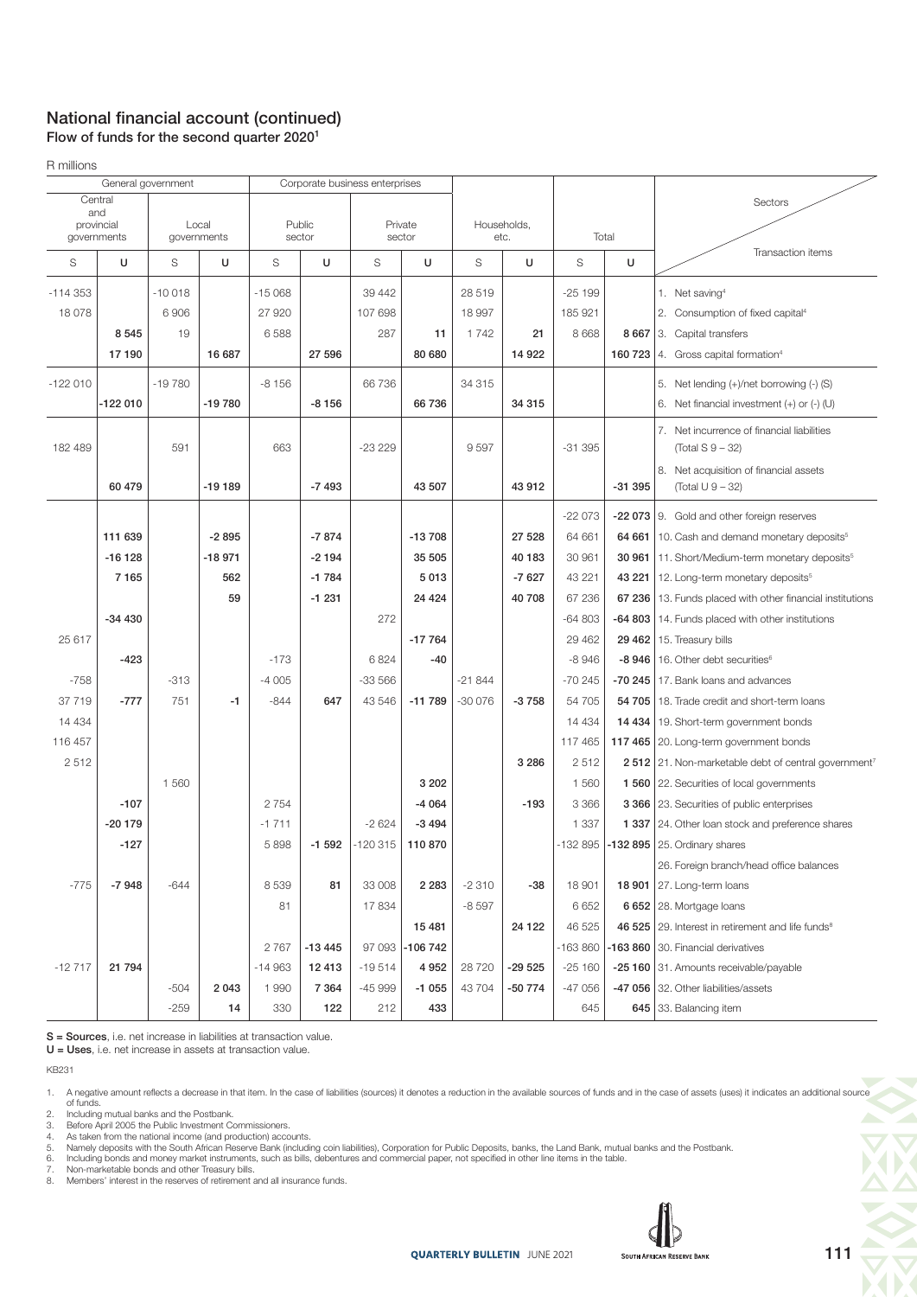### National financial account (continued)

Flow of funds for the second quarter 2020<sup>1</sup>

R millions

|            | General government |          |                      | Corporate business enterprises |          |           |                   |          |                     |          |          |                                                                  |
|------------|--------------------|----------|----------------------|--------------------------------|----------|-----------|-------------------|----------|---------------------|----------|----------|------------------------------------------------------------------|
|            | Central            |          |                      |                                |          |           |                   |          |                     |          |          | Sectors                                                          |
| and        |                    |          |                      |                                | Public   |           |                   |          |                     |          |          |                                                                  |
| provincial | governments        |          | Local<br>governments |                                | sector   |           | Private<br>sector |          | Households,<br>etc. |          | Total    |                                                                  |
| S          | U                  | S        | U                    | S                              | U        | S         | U                 | S        | U                   | S        | U        | Transaction items                                                |
| $-114353$  |                    | $-10018$ |                      | $-15068$                       |          | 39 442    |                   | 28 519   |                     | $-25199$ |          | 1. Net saving <sup>4</sup>                                       |
| 18 0 78    |                    | 6906     |                      | 27 9 20                        |          | 107 698   |                   | 18 997   |                     | 185 921  |          | 2. Consumption of fixed capital <sup>4</sup>                     |
|            | 8545               | 19       |                      | 6588                           |          | 287       | 11                | 1742     | 21                  | 8 6 6 8  |          | 8 667 3. Capital transfers                                       |
|            | 17190              |          | 16 687               |                                | 27 596   |           | 80 680            |          | 14 9 22             |          | 160 723  | 4. Gross capital formation <sup>4</sup>                          |
| $-122010$  |                    | $-19780$ |                      | $-8156$                        |          | 66 736    |                   | 34 315   |                     |          |          | 5. Net lending (+)/net borrowing (-) (S)                         |
|            |                    |          |                      |                                |          |           |                   |          |                     |          |          |                                                                  |
|            | $-122010$          |          | -19780               |                                | $-8156$  |           | 66 736            |          | 34 315              |          |          | 6. Net financial investment $(+)$ or $(-)$ (U)                   |
|            |                    |          |                      |                                |          |           |                   |          |                     |          |          | 7. Net incurrence of financial liabilities                       |
| 182 489    |                    | 591      |                      | 663                            |          | $-23229$  |                   | 9597     |                     | $-31395$ |          | (Total $S$ 9 – 32)                                               |
|            |                    |          |                      |                                |          |           |                   |          |                     |          |          | 8. Net acquisition of financial assets                           |
|            | 60 479             |          | -19 189              |                                | $-7493$  |           | 43 507            |          | 43 912              |          | $-31395$ | (Total U 9 - 32)                                                 |
|            |                    |          |                      |                                |          |           |                   |          |                     | $-22073$ |          | -22 073 9. Gold and other foreign reserves                       |
|            | 111 639            |          | $-2895$              |                                | $-7874$  |           | $-13708$          |          | 27 528              | 64 661   |          | 64 661 10. Cash and demand monetary deposits <sup>5</sup>        |
|            | $-16128$           |          | $-18971$             |                                | $-2194$  |           | 35 505            |          | 40 183              | 30 961   |          | 30 961   11. Short/Medium-term monetary deposits <sup>5</sup>    |
|            | 7165               |          | 562                  |                                | $-1784$  |           | 5013              |          | $-7627$             | 43 221   | 43 221   | 12. Long-term monetary deposits <sup>5</sup>                     |
|            |                    |          | 59                   |                                | $-1231$  |           | 24 4 24           |          | 40 708              | 67 236   |          | 67 236   13. Funds placed with other financial institutions      |
|            | $-34430$           |          |                      |                                |          | 272       |                   |          |                     | $-64803$ | $-64803$ | 14. Funds placed with other institutions                         |
| 25 617     |                    |          |                      |                                |          |           | $-17764$          |          |                     | 29 4 62  |          | 29 462   15. Treasury bills                                      |
|            | $-423$             |          |                      | $-173$                         |          | 6824      | $-40$             |          |                     | $-8946$  |          | -8 946   16. Other debt securities $6$                           |
| $-758$     |                    | $-313$   |                      | $-4005$                        |          | $-33566$  |                   | $-21844$ |                     | $-70245$ |          | -70 245   17. Bank loans and advances                            |
| 37 719     | $-777$             | 751      | $-1$                 | $-844$                         | 647      | 43 546    | $-11789$          | $-30076$ | $-3758$             | 54 705   | 54 705   | 18. Trade credit and short-term loans                            |
| 14 4 34    |                    |          |                      |                                |          |           |                   |          |                     | 14 4 34  |          | 14 434   19. Short-term government bonds                         |
| 116 457    |                    |          |                      |                                |          |           |                   |          |                     | 117 465  |          | 117 465 20. Long-term government bonds                           |
| 2512       |                    |          |                      |                                |          |           |                   |          | 3 2 8 6             | 2512     |          | 2 512 21. Non-marketable debt of central government <sup>7</sup> |
|            |                    | 1 5 6 0  |                      |                                |          |           | 3 2 0 2           |          |                     | 1 560    |          | 1 560 22. Securities of local governments                        |
|            | $-107$             |          |                      | 2 7 5 4                        |          |           | $-4064$           |          | $-193$              | 3 3 6 6  |          | 3 366 23. Securities of public enterprises                       |
|            | $-20179$           |          |                      | $-1711$                        |          | $-2624$   | $-3494$           |          |                     | 1 3 3 7  |          | 1 337 24. Other loan stock and preference shares                 |
|            | $-127$             |          |                      | 5 8 9 8                        | $-1592$  | $-120315$ | 110 870           |          |                     | -132 895 |          | -132 895 $ 25$ . Ordinary shares                                 |
|            |                    |          |                      |                                |          |           |                   |          |                     |          |          | 26. Foreign branch/head office balances                          |
| $-775$     | $-7948$            | $-644$   |                      | 8 5 3 9                        | 81       | 33 008    | 2 2 8 3           | $-2310$  | $-38$               | 18 901   |          | <b>18 901</b> 27. Long-term loans                                |
|            |                    |          |                      | 81                             |          | 17834     |                   | $-8597$  |                     | 6652     |          | 6 652 28. Mortgage loans                                         |
|            |                    |          |                      |                                |          |           | 15 4 81           |          | 24 1 22             | 46 525   |          | 46 525 29. Interest in retirement and life funds <sup>8</sup>    |
|            |                    |          |                      | 2767                           | $-13445$ | 97 093    | $-106742$         |          |                     | -163 860 |          | -163 860 30. Financial derivatives                               |
| $-12717$   | 21 794             |          |                      | $-14963$                       | 12 413   | $-19514$  | 4 9 5 2           | 28 7 20  | -29 525             | $-25160$ |          | -25 160 31. Amounts receivable/payable                           |
|            |                    | $-504$   | 2043                 | 1 9 9 0                        | 7 3 6 4  | $-45999$  | $-1055$           | 43 704   | -50 774             | $-47056$ |          | -47 056 32. Other liabilities/assets                             |
|            |                    | $-259$   | 14                   | 330                            | 122      | 212       | 433               |          |                     | 645      |          | 645 33. Balancing item                                           |

S = Sources, i.e. net increase in liabilities at transaction value.

U = Uses, i.e. net increase in assets at transaction value.

KB231

2. Including mutual banks and the Postbank. 3. Before April 2005 the Public Investment Commissioners.

4. As taken from the national income (and production) accounts.

5. Namely deposits with the South African Reserve Bank (including coin liabilities), Corporation for Public Deposits, banks, the Land Bank, mutual banks and the Postbank.<br>6. Including bonds and money market instruments

7. Non-marketable bonds and other Treasury bills. 8. Members' interest in the reserves of retirement and all insurance funds.



<sup>1.</sup> A negative amount reflects a decrease in that item. In the case of liabilities (sources) it denotes a reduction in the available sources of funds and in the case of assets (uses) it indicates an additional source<br>6) of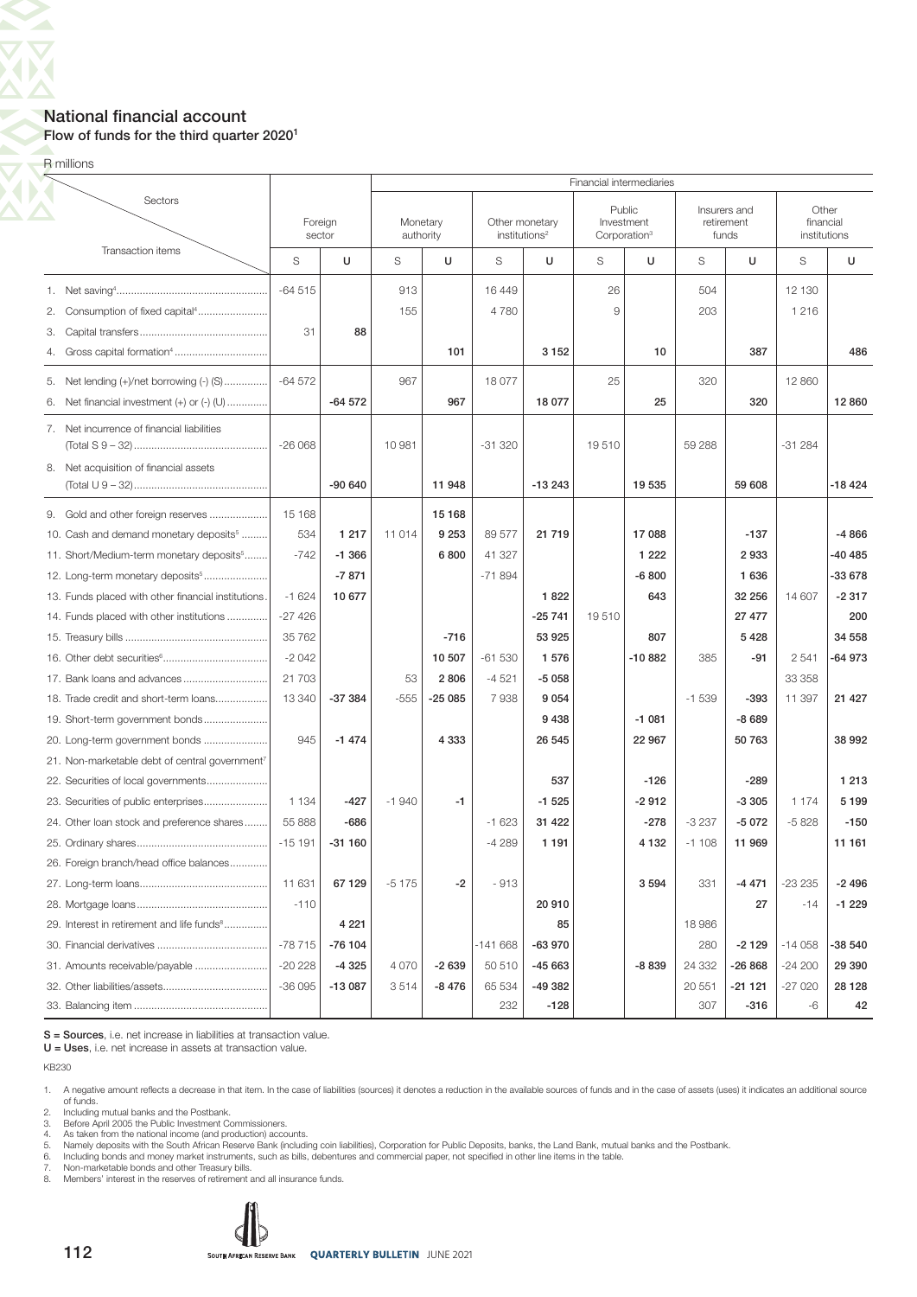### National financial account Flow of funds for the third quarter 2020<sup>1</sup>

R millions

80  $\mathbf{X}'$ 

|                                                            |          |                   |                       |          |                           |                |       | Financial intermediaries                         |         |                                     |                                    |          |
|------------------------------------------------------------|----------|-------------------|-----------------------|----------|---------------------------|----------------|-------|--------------------------------------------------|---------|-------------------------------------|------------------------------------|----------|
| Sectors                                                    |          | Foreign<br>sector | Monetary<br>authority |          | institutions <sup>2</sup> | Other monetary |       | Public<br>Investment<br>Corporation <sup>3</sup> |         | Insurers and<br>retirement<br>funds | Other<br>financial<br>institutions |          |
| Transaction items                                          | S        | U                 | S                     | U        | S                         | U              | S     | U                                                | S       | U                                   | S                                  | U        |
|                                                            | $-64515$ |                   | 913                   |          | 16 449                    |                | 26    |                                                  | 504     |                                     | 12 130                             |          |
| 2. Consumption of fixed capital <sup>4</sup>               |          |                   | 155                   |          | 4780                      |                | 9     |                                                  | 203     |                                     | 1 2 1 6                            |          |
| 3.                                                         | 31       | 88                |                       |          |                           |                |       |                                                  |         |                                     |                                    |          |
| 4.                                                         |          |                   |                       | 101      |                           | 3 1 5 2        |       | 10                                               |         | 387                                 |                                    | 486      |
| 5. Net lending (+)/net borrowing (-) (S)                   | $-64572$ |                   | 967                   |          | 18 077                    |                | 25    |                                                  | 320     |                                     | 12 860                             |          |
| Net financial investment $(+)$ or $(-)$ $(U)$<br>6.        |          | $-64572$          |                       | 967      |                           | 18 077         |       | 25                                               |         | 320                                 |                                    | 12 860   |
| 7. Net incurrence of financial liabilities                 | $-26068$ |                   | 10 981                |          | $-31320$                  |                | 19510 |                                                  | 59 288  |                                     | $-31284$                           |          |
|                                                            |          |                   |                       |          |                           |                |       |                                                  |         |                                     |                                    |          |
| 8. Net acquisition of financial assets                     |          | $-90640$          |                       | 11 948   |                           | $-13243$       |       | 19 535                                           |         | 59 608                              |                                    | $-18424$ |
| 9. Gold and other foreign reserves                         | 15 168   |                   |                       | 15 1 68  |                           |                |       |                                                  |         |                                     |                                    |          |
| 10. Cash and demand monetary deposits <sup>5</sup>         | 534      | 1 2 1 7           | 11 014                | 9 2 5 3  | 89 577                    | 21 7 19        |       | 17 088                                           |         | $-137$                              |                                    | $-4866$  |
| 11. Short/Medium-term monetary deposits <sup>5</sup>       | $-742$   | $-1.366$          |                       | 6800     | 41 327                    |                |       | 1 2 2 2                                          |         | 2933                                |                                    | -40 485  |
| 12. Long-term monetary deposits <sup>5</sup>               |          | $-7871$           |                       |          | $-71894$                  |                |       | $-6800$                                          |         | 1 6 3 6                             |                                    | -33 678  |
| 13. Funds placed with other financial institutions.        | $-1624$  | 10 677            |                       |          |                           | 1822           |       | 643                                              |         | 32 256                              | 14 607                             | $-2317$  |
| 14. Funds placed with other institutions                   | $-27426$ |                   |                       |          |                           | $-25741$       | 19510 |                                                  |         | 27 477                              |                                    | 200      |
|                                                            | 35 762   |                   |                       | $-716$   |                           | 53 925         |       | 807                                              |         | 5428                                |                                    | 34 558   |
|                                                            | $-2042$  |                   |                       | 10 507   | $-61530$                  | 1 576          |       | $-10882$                                         | 385     | $-91$                               | 2 5 4 1                            | -64 973  |
| 17. Bank loans and advances                                | 21 703   |                   | 53                    | 2806     | $-4521$                   | $-5058$        |       |                                                  |         |                                     | 33 358                             |          |
| 18. Trade credit and short-term loans                      | 13 340   | $-37384$          | $-555$                | $-25085$ | 7938                      | 9 0 5 4        |       |                                                  | $-1539$ | $-393$                              | 11 397                             | 21 4 27  |
| 19. Short-term government bonds                            |          |                   |                       |          |                           | 9438           |       | $-1081$                                          |         | $-8689$                             |                                    |          |
| 20. Long-term government bonds                             | 945      | $-1474$           |                       | 4 3 3 3  |                           | 26 545         |       | 22 967                                           |         | 50763                               |                                    | 38 992   |
| 21. Non-marketable debt of central government <sup>7</sup> |          |                   |                       |          |                           |                |       |                                                  |         |                                     |                                    |          |
| 22. Securities of local governments                        |          |                   |                       |          |                           | 537            |       | $-126$                                           |         | $-289$                              |                                    | 1 2 1 3  |
| 23. Securities of public enterprises                       | 1 1 3 4  | $-427$            | $-1940$               | -1       |                           | $-1525$        |       | $-2912$                                          |         | $-3305$                             | 1 1 7 4                            | 5 1 9 9  |
| 24. Other loan stock and preference shares                 | 55 888   | $-686$            |                       |          | $-1623$                   | 31 422         |       | $-278$                                           | $-3237$ | $-5072$                             | $-5828$                            | $-150$   |
|                                                            | $-15191$ | $-31160$          |                       |          | $-4289$                   | 1 1 9 1        |       | 4 1 3 2                                          | $-1108$ | 11 969                              |                                    | 11 161   |
| 26. Foreign branch/head office balances                    |          |                   |                       |          |                           |                |       |                                                  |         |                                     |                                    |          |
|                                                            | 11 631   | 67 129            | $-5175$               | $-2$     | $-913$                    |                |       | 3 5 9 4                                          | 331     | $-4471$                             | $-23235$                           | $-2496$  |
|                                                            | $-110$   |                   |                       |          |                           | 20 910         |       |                                                  |         | 27                                  | $-14$                              | $-1229$  |
| 29. Interest in retirement and life funds <sup>8</sup>     |          | 4 2 2 1           |                       |          |                           | 85             |       |                                                  | 18 986  |                                     |                                    |          |
|                                                            | $-78715$ | $-76104$          |                       |          | $-141668$                 | -63 970        |       |                                                  | 280     | $-2129$                             | $-14058$                           | -38 540  |
| 31. Amounts receivable/payable                             | $-20228$ | $-4325$           | 4070                  | $-2639$  | 50 510                    | $-45663$       |       | $-8839$                                          | 24 332  | $-26868$                            | $-24200$                           | 29 390   |
|                                                            | $-36095$ | $-13087$          | 3514                  | $-8476$  | 65 534                    | -49 382        |       |                                                  | 20 551  | $-21121$                            | $-27020$                           | 28 1 28  |
|                                                            |          |                   |                       |          | 232                       | $-128$         |       |                                                  | 307     | $-316$                              | -6                                 | 42       |

S = Sources, i.e. net increase in liabilities at transaction value.

U = Uses, i.e. net increase in assets at transaction value.

KB230

1. A negative amount reflects a decrease in that item. In the case of liabilities (sources) it denotes a reduction in the available sources of funds and in the case of assets (uses) it indicates an additional source of funds. 2. Including mutual banks and the Postbank.

3. Before April 2005 the Public Investment Commissioners.<br>4. As taken from the national income (and production) acco

4. As taken from the national income (and production) accounts.<br>5. Namely deposits with the South African Reserve Bank (including coin liabilities), Corporation for Public Deposits, banks, the Land Bank, mutual banks and t

8. Members' interest in the reserves of retirement and all insurance funds.

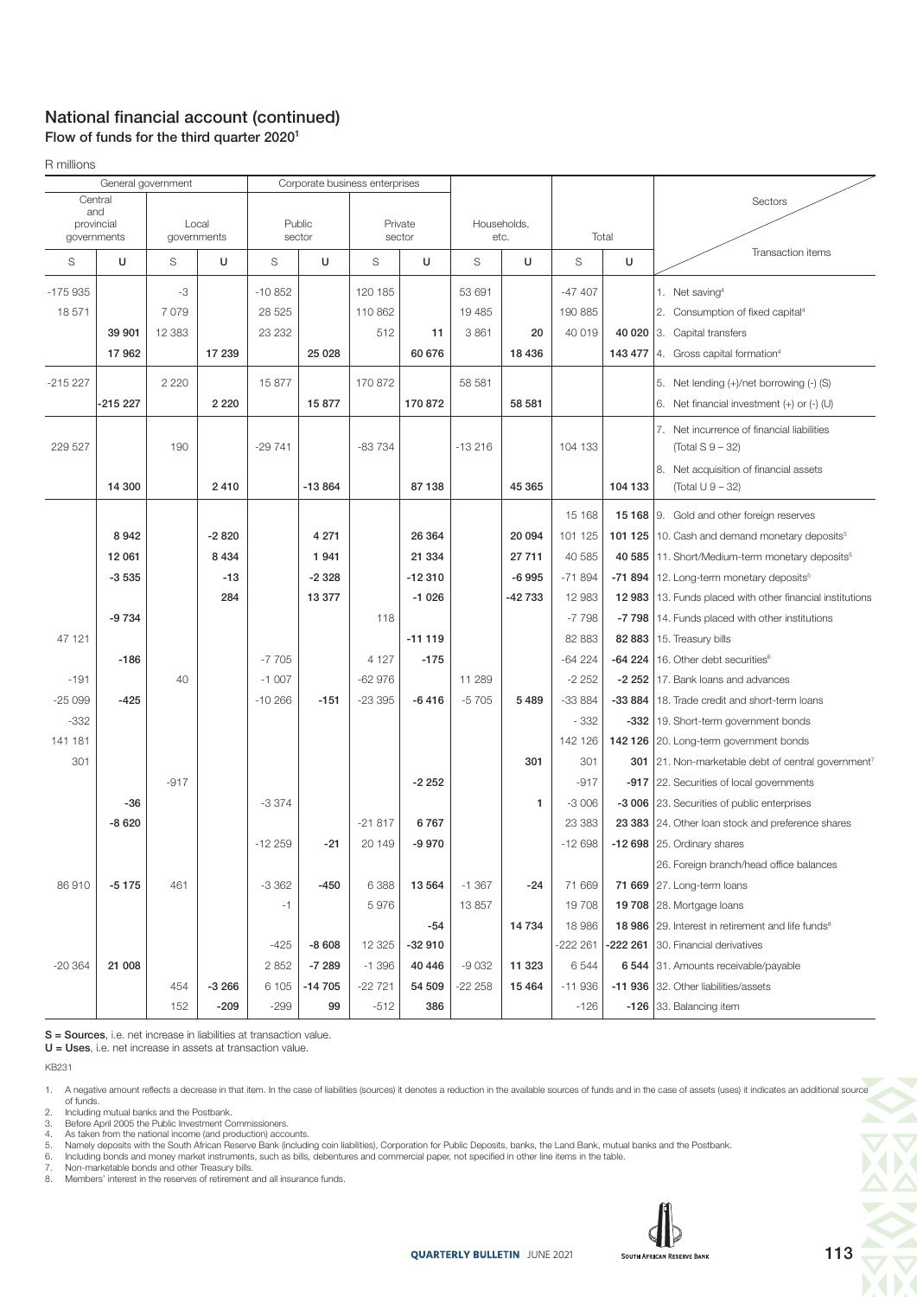### National financial account (continued) Flow of funds for the third quarter 2020<sup>1</sup>

R millions

| General government                                                  |          |          |                  | Corporate business enterprises |          |                   |          |                     |              |          |           |                                                                         |
|---------------------------------------------------------------------|----------|----------|------------------|--------------------------------|----------|-------------------|----------|---------------------|--------------|----------|-----------|-------------------------------------------------------------------------|
| Central<br>and<br>provincial<br>Local<br>governments<br>governments |          |          | Public<br>sector |                                |          | Private<br>sector |          | Households,<br>etc. | Total        |          | Sectors   |                                                                         |
| S                                                                   | U        | S        | U                | S                              | U        | S                 | U        | S                   | U            | S        | U         | Transaction items                                                       |
| $-175935$                                                           |          | -3       |                  | $-10852$                       |          | 120 185           |          | 53 691              |              | $-47407$ |           | 1. Net saving <sup>4</sup>                                              |
| 18571                                                               |          | 7079     |                  | 28 5 25                        |          | 110 862           |          | 19 4 85             |              | 190 885  |           | 2. Consumption of fixed capital <sup>4</sup>                            |
|                                                                     | 39 901   | 12 3 8 3 |                  | 23 2 32                        |          | 512               | 11       | 3861                | 20           | 40 019   |           | 40 020 3. Capital transfers                                             |
|                                                                     | 17962    |          | 17 239           |                                | 25 0 28  |                   | 60 676   |                     | 18 4 36      |          | 143 477   | 4. Gross capital formation <sup>4</sup>                                 |
| $-215227$                                                           |          | 2 2 2 0  |                  | 15877                          |          | 170 872           |          | 58 581              |              |          |           | 5. Net lending (+)/net borrowing (-) (S)                                |
|                                                                     | -215 227 |          | 2 2 2 0          |                                | 15877    |                   | 170 872  |                     | 58 581       |          |           | 6. Net financial investment $(+)$ or $(-)$ (U)                          |
| 229 527                                                             |          | 190      |                  | $-29741$                       |          | $-83734$          |          | $-13216$            |              | 104 133  |           | 7. Net incurrence of financial liabilities<br>(Total S 9 – 32)          |
|                                                                     | 14 300   |          | 2410             |                                | $-13864$ |                   | 87 138   |                     | 45 365       |          | 104 133   | 8. Net acquisition of financial assets<br>(Total U 9 - 32)              |
|                                                                     |          |          |                  |                                |          |                   |          |                     |              | 15 168   |           | 15 168 9. Gold and other foreign reserves                               |
|                                                                     | 8942     |          | $-2820$          |                                | 4 2 7 1  |                   | 26 364   |                     | 20 094       | 101 125  |           | 101 125   10. Cash and demand monetary deposits <sup>5</sup>            |
|                                                                     | 12 061   |          | 8 4 3 4          |                                | 1941     |                   | 21 334   |                     | 27 711       | 40 585   |           | 40 585   11. Short/Medium-term monetary deposits <sup>5</sup>           |
|                                                                     | $-3535$  |          | $-13$            |                                | $-2328$  |                   | $-12310$ |                     | $-6995$      | $-71894$ | -71 894   | 12. Long-term monetary deposits <sup>5</sup>                            |
|                                                                     |          |          | 284              |                                | 13 377   |                   | $-1026$  |                     | $-42733$     | 12 983   | 12983     | 13. Funds placed with other financial institutions                      |
|                                                                     | $-9734$  |          |                  |                                |          | 118               |          |                     |              | $-7798$  | -7 798    | 14. Funds placed with other institutions                                |
| 47 121                                                              |          |          |                  |                                |          |                   | $-11119$ |                     |              | 82 883   | 82 883    | 15. Treasury bills                                                      |
|                                                                     | $-186$   |          |                  | $-7705$                        |          | 4 1 2 7           | $-175$   |                     |              | $-64224$ | $-64224$  | 16. Other debt securities <sup>6</sup>                                  |
| $-191$                                                              |          | 40       |                  | $-1007$                        |          | $-62976$          |          | 11 289              |              | $-2252$  | $-2252$   | 17. Bank loans and advances                                             |
| $-25099$                                                            | $-425$   |          |                  | $-10266$                       | $-151$   | $-23395$          | $-6416$  | $-5705$             | 5 4 8 9      | $-33884$ | -33 884   | 18. Trade credit and short-term loans                                   |
| $-332$                                                              |          |          |                  |                                |          |                   |          |                     |              | $-332$   |           | -332   19. Short-term government bonds                                  |
| 141 181                                                             |          |          |                  |                                |          |                   |          |                     |              | 142 126  |           | 142 126 20. Long-term government bonds                                  |
| 301                                                                 |          |          |                  |                                |          |                   |          |                     | 301          | 301      |           | <b>301</b>   21. Non-marketable debt of central government <sup>7</sup> |
|                                                                     |          | $-917$   |                  |                                |          |                   | $-2252$  |                     |              | $-917$   |           | -917   22. Securities of local governments                              |
|                                                                     | $-36$    |          |                  | $-3374$                        |          |                   |          |                     | $\mathbf{1}$ | $-3006$  |           | -3 006 23. Securities of public enterprises                             |
|                                                                     | $-8620$  |          |                  |                                |          | $-21817$          | 6767     |                     |              | 23 383   |           | 23 383 24. Other loan stock and preference shares                       |
|                                                                     |          |          |                  | $-12259$                       | $-21$    | 20 149            | $-9970$  |                     |              | $-12698$ |           | $-12698$ 25. Ordinary shares                                            |
|                                                                     |          |          |                  |                                |          |                   |          |                     |              |          |           | 26. Foreign branch/head office balances                                 |
| 86910                                                               | $-5175$  | 461      |                  | $-3362$                        | $-450$   | 6 3 8 8           | 13 5 64  | $-1.367$            | -24          | 71 669   |           | 71 669 27. Long-term loans                                              |
|                                                                     |          |          |                  | $-1$                           |          | 5976              |          | 13857               |              | 19 708   | 19708     | 28. Mortgage loans                                                      |
|                                                                     |          |          |                  |                                |          |                   | $-54$    |                     | 14 734       | 18 986   |           | 18 986 29. Interest in retirement and life funds <sup>8</sup>           |
|                                                                     |          |          |                  | $-425$                         | $-8608$  | 12 3 25           | $-32910$ |                     |              | -222 261 | $-222201$ | 30. Financial derivatives                                               |
| $-20364$                                                            | 21 008   |          |                  | 2852                           | $-7289$  | $-1.396$          | 40 446   | $-9032$             | 11 323       | 6544     |           | 6 544 31. Amounts receivable/payable                                    |
|                                                                     |          | 454      | $-3266$          | 6 1 0 5                        | $-14705$ | $-22721$          | 54 509   | $-22258$            | 15 4 64      | $-11936$ |           | -11 936 32. Other liabilities/assets                                    |
|                                                                     |          | 152      | $-209$           | $-299$                         | 99       | $-512$            | 386      |                     |              | $-126$   |           | -126 33. Balancing item                                                 |

S = Sources, i.e. net increase in liabilities at transaction value.

 $U =$  Uses, i.e. net increase in assets at transaction value.

KB231

3. Before April 2005 the Public Investment Commissioners.<br>4. As taken from the national income (and production) accounts.<br>5. Namely deposits with the South African Reserve Bank (including coin liabilities), Corporation for

8. Members' interest in the reserves of retirement and all insurance funds.



<sup>1.</sup> A negative amount reflects a decrease in that item. In the case of liabilities (sources) it denotes a reduction in the available sources of funds and in the case of assets (uses) it indicates an additional source of funds. 2. Including mutual banks and the Postbank.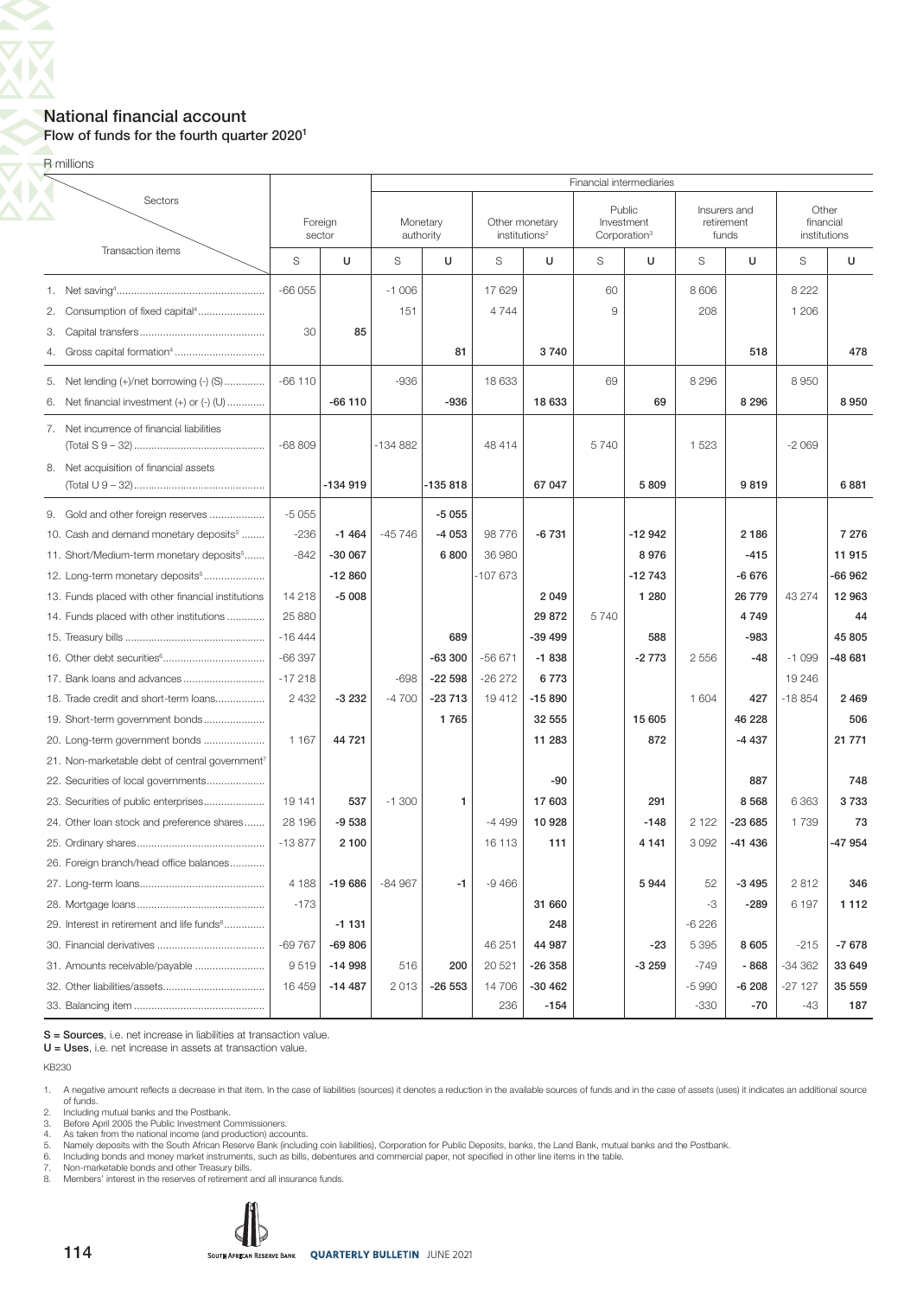### National financial account Flow of funds for the fourth quarter 20201

R millions

 $\overline{\bm{\nabla}}$ 80 <u>AV</u>

|                                                            |          |                   | Financial intermediaries |                       |                           |                |      |                                                  |         |                                     |                                    |          |  |  |  |
|------------------------------------------------------------|----------|-------------------|--------------------------|-----------------------|---------------------------|----------------|------|--------------------------------------------------|---------|-------------------------------------|------------------------------------|----------|--|--|--|
| Sectors                                                    |          | Foreign<br>sector |                          | Monetary<br>authority | institutions <sup>2</sup> | Other monetary |      | Public<br>Investment<br>Corporation <sup>3</sup> |         | Insurers and<br>retirement<br>funds | Other<br>financial<br>institutions |          |  |  |  |
| Transaction items                                          | S        | U                 | S                        | U                     | S                         | U              | S    | U                                                | S       | U                                   | S                                  | U        |  |  |  |
|                                                            | $-66055$ |                   | $-1006$                  |                       | 17629                     |                | 60   |                                                  | 8 6 0 6 |                                     | 8 2 2 2                            |          |  |  |  |
| Consumption of fixed capital <sup>4</sup><br>2.            |          |                   | 151                      |                       | 4744                      |                | 9    |                                                  | 208     |                                     | 1 206                              |          |  |  |  |
| З.                                                         | 30       | 85                |                          |                       |                           |                |      |                                                  |         |                                     |                                    |          |  |  |  |
| 4.                                                         |          |                   |                          | 81                    |                           | 3740           |      |                                                  |         | 518                                 |                                    | 478      |  |  |  |
| 5. Net lending (+)/net borrowing (-) (S)                   | $-66110$ |                   | $-936$                   |                       | 18 633                    |                | 69   |                                                  | 8 2 9 6 |                                     | 8950                               |          |  |  |  |
| Net financial investment $(+)$ or $(-)$ $(U)$<br>6.        |          | $-66110$          |                          | $-936$                |                           | 18 633         |      | 69                                               |         | 8 2 9 6                             |                                    | 8950     |  |  |  |
| 7. Net incurrence of financial liabilities                 | $-68809$ |                   | $-134882$                |                       | 48 414                    |                | 5740 |                                                  | 1 5 2 3 |                                     | $-2069$                            |          |  |  |  |
| 8. Net acquisition of financial assets                     |          | $-134919$         |                          | $-135818$             |                           | 67 047         |      | 5809                                             |         | 9819                                |                                    | 6881     |  |  |  |
| 9. Gold and other foreign reserves                         | $-5055$  |                   |                          | $-5055$               |                           |                |      |                                                  |         |                                     |                                    |          |  |  |  |
| 10. Cash and demand monetary deposits <sup>5</sup>         | $-236$   | $-1464$           | $-45746$                 | -4 053                | 98776                     | $-6731$        |      | $-12942$                                         |         | 2186                                |                                    | 7 2 7 6  |  |  |  |
| 11. Short/Medium-term monetary deposits <sup>5</sup>       | $-842$   | $-300067$         |                          | 6800                  | 36 980                    |                |      | 8976                                             |         | $-415$                              |                                    | 11 915   |  |  |  |
| 12. Long-term monetary deposits <sup>5</sup>               |          | $-12860$          |                          |                       | -107 673                  |                |      | $-12743$                                         |         | $-6676$                             |                                    | $-66962$ |  |  |  |
| 13. Funds placed with other financial institutions         | 14 218   | $-5008$           |                          |                       |                           | 2049           |      | 1 2 8 0                                          |         | 26 779                              | 43 274                             | 12 963   |  |  |  |
| 14. Funds placed with other institutions                   | 25 880   |                   |                          |                       |                           | 29 872         | 5740 |                                                  |         | 4749                                |                                    | 44       |  |  |  |
|                                                            | $-16444$ |                   |                          | 689                   |                           | $-39499$       |      | 588                                              |         | $-983$                              |                                    | 45 805   |  |  |  |
|                                                            | $-66397$ |                   |                          | $-63300$              | $-56671$                  | $-1838$        |      | $-2773$                                          | 2 5 5 6 | $-48$                               | $-1099$                            | -48 681  |  |  |  |
|                                                            | $-17218$ |                   | $-698$                   | $-22598$              | $-26272$                  | 6773           |      |                                                  |         |                                     | 19 246                             |          |  |  |  |
| 18. Trade credit and short-term loans                      | 2 4 3 2  | $-3232$           | $-4700$                  | $-23713$              | 19412                     | $-15890$       |      |                                                  | 1 604   | 427                                 | $-18854$                           | 2 4 6 9  |  |  |  |
| 19. Short-term government bonds                            |          |                   |                          | 1765                  |                           | 32 555         |      | 15 605                                           |         | 46 228                              |                                    | 506      |  |  |  |
| 20. Long-term government bonds                             | 1 1 6 7  | 44 721            |                          |                       |                           | 11 283         |      | 872                                              |         | $-4437$                             |                                    | 21 771   |  |  |  |
| 21. Non-marketable debt of central government <sup>7</sup> |          |                   |                          |                       |                           |                |      |                                                  |         |                                     |                                    |          |  |  |  |
| 22. Securities of local governments                        |          |                   |                          |                       |                           | $-90$          |      |                                                  |         | 887                                 |                                    | 748      |  |  |  |
|                                                            | 19 141   | 537               | $-1300$                  | 1                     |                           | 17603          |      | 291                                              |         | 8568                                | 6 3 6 3                            | 3733     |  |  |  |
| 24. Other loan stock and preference shares                 | 28 196   | $-9538$           |                          |                       | $-4499$                   | 10928          |      | $-148$                                           | 2 1 2 2 | $-23685$                            | 1739                               | 73       |  |  |  |
|                                                            | $-13877$ | 2 1 0 0           |                          |                       | 16 113                    | 111            |      | 4 1 4 1                                          | 3 0 9 2 | -41 436                             |                                    | -47 954  |  |  |  |
| 26. Foreign branch/head office balances                    |          |                   |                          |                       |                           |                |      |                                                  |         |                                     |                                    |          |  |  |  |
|                                                            | 4 1 8 8  | -19 686           | $-84967$                 | $-1$                  | $-9466$                   |                |      | 5944                                             | 52      | $-3495$                             | 2812                               | 346      |  |  |  |
|                                                            | $-173$   |                   |                          |                       |                           | 31 660         |      |                                                  | -3      | $-289$                              | 6 197                              | 1 1 1 2  |  |  |  |
| 29. Interest in retirement and life funds <sup>8</sup>     |          | $-1131$           |                          |                       |                           | 248            |      |                                                  | $-6226$ |                                     |                                    |          |  |  |  |
|                                                            | $-69767$ | $-69806$          |                          |                       | 46 251                    | 44 987         |      | -23                                              | 5 3 9 5 | 8 6 0 5                             | $-215$                             | $-7678$  |  |  |  |
| 31. Amounts receivable/payable                             | 9519     | $-14998$          | 516                      | 200                   | 20 5 21                   | $-26358$       |      | $-3259$                                          | $-749$  | - 868                               | $-34362$                           | 33 649   |  |  |  |
|                                                            | 16 459   | $-14487$          | 2013                     | $-26553$              | 14706                     | $-30462$       |      |                                                  | $-5990$ | $-6208$                             | $-27127$                           | 35 559   |  |  |  |
|                                                            |          |                   |                          |                       | 236                       | $-154$         |      |                                                  | $-330$  | $-70$                               | -43                                | 187      |  |  |  |

S = Sources, i.e. net increase in liabilities at transaction value.

U = Uses, i.e. net increase in assets at transaction value.

KB230

1. A negative amount reflects a decrease in that item. In the case of liabilities (sources) it denotes a reduction in the available sources of funds and in the case of assets (uses) it indicates an additional source of funds. 2. Including mutual banks and the Postbank.

3. Before April 2005 the Public Investment Commissioners.<br>4. As taken from the national income (and production) acco

4. As taken from the national income (and production) accounts.<br>5. Namely deposits with the South African Reserve Bank (including coin liabilities), Corporation for Public Deposits, banks, the Land Bank, mutual banks and t

8. Members' interest in the reserves of retirement and all insurance funds.